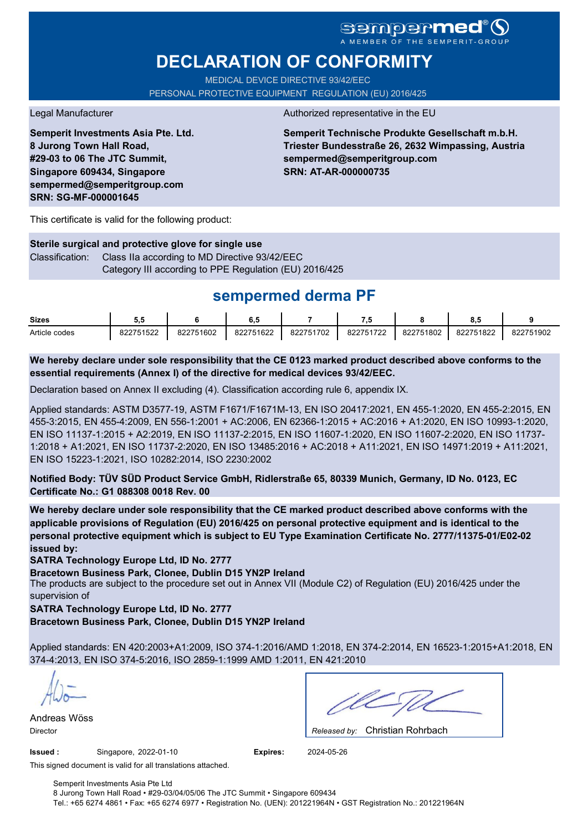# **DECLARATION OF CONFORMITY**

MEDICAL DEVICE DIRECTIVE 93/42/EEC PERSONAL PROTECTIVE EQUIPMENT REGULATION (EU) 2016/425

**Semperit Investments Asia Pte. Ltd. 8 Jurong Town Hall Road, #29-03 to 06 The JTC Summit, Singapore 609434, Singapore sempermed@semperitgroup.com SRN: SG-MF-000001645**

#### Legal Manufacturer **Authorized representative in the EU**

**Semperit Technische Produkte Gesellschaft m.b.H. Triester Bundesstraße 26, 2632 Wimpassing, Austria sempermed@semperitgroup.com SRN: AT-AR-000000735**

This certificate is valid for the following product:

**Sterile surgical and protective glove for single use** Classification: Class IIa according to MD Directive 93/42/EEC Category III according to PPE Regulation (EU) 2016/425

## **sempermed derma PF**

| <b>Sizes</b>  | ບ.ບ       |           | ο         |           | - 7       |           | ο.υ       |           |
|---------------|-----------|-----------|-----------|-----------|-----------|-----------|-----------|-----------|
| Article codes | 822751522 | 822751602 | 822751622 | 822751702 | 822751722 | 822751802 | 822751822 | 822751902 |

**We hereby declare under sole responsibility that the CE 0123 marked product described above conforms to the essential requirements (Annex I) of the directive for medical devices 93/42/EEC.**

Declaration based on Annex II excluding (4). Classification according rule 6, appendix IX.

Applied standards: ASTM D3577-19, ASTM F1671/F1671M-13, EN ISO 20417:2021, EN 455-1:2020, EN 455-2:2015, EN 455-3:2015, EN 455-4:2009, EN 556-1:2001 + AC:2006, EN 62366-1:2015 + AC:2016 + A1:2020, EN ISO 10993-1:2020, EN ISO 11137-1:2015 + A2:2019, EN ISO 11137-2:2015, EN ISO 11607-1:2020, EN ISO 11607-2:2020, EN ISO 11737- 1:2018 + A1:2021, EN ISO 11737-2:2020, EN ISO 13485:2016 + AC:2018 + A11:2021, EN ISO 14971:2019 + A11:2021, EN ISO 15223-1:2021, ISO 10282:2014, ISO 2230:2002

**Notified Body: TÜV SÜD Product Service GmbH, Ridlerstraße 65, 80339 Munich, Germany, ID No. 0123, EC Certificate No.: G1 088308 0018 Rev. 00** 

**We hereby declare under sole responsibility that the CE marked product described above conforms with the applicable provisions of Regulation (EU) 2016/425 on personal protective equipment and is identical to the personal protective equipment which is subject to EU Type Examination Certificate No. 2777/11375-01/E02-02 issued by:**

**SATRA Technology Europe Ltd, ID No. 2777**

**Bracetown Business Park, Clonee, Dublin D15 YN2P Ireland**

The products are subject to the procedure set out in Annex VII (Module C2) of Regulation (EU) 2016/425 under the supervision of

**SATRA Technology Europe Ltd, ID No. 2777**

**Bracetown Business Park, Clonee, Dublin D15 YN2P Ireland**

Applied standards: EN 420:2003+A1:2009, ISO 374-1:2016/AMD 1:2018, EN 374-2:2014, EN 16523-1:2015+A1:2018, EN 374-4:2013, EN ISO 374-5:2016, ISO 2859-1:1999 AMD 1:2011, EN 421:2010

Andreas Wöss

Christian Rohrbach Director *Released by:* 

**Issued :** Singapore, 2022-01-10 **Expires:** 2024-05-26

This signed document is valid for all translations attached.

Semperit Investments Asia Pte Ltd 8 Jurong Town Hall Road • #29-03/04/05/06 The JTC Summit • Singapore 609434 Tel.: +65 6274 4861 • Fax: +65 6274 6977 • Registration No. (UEN): 201221964N • GST Registration No.: 201221964N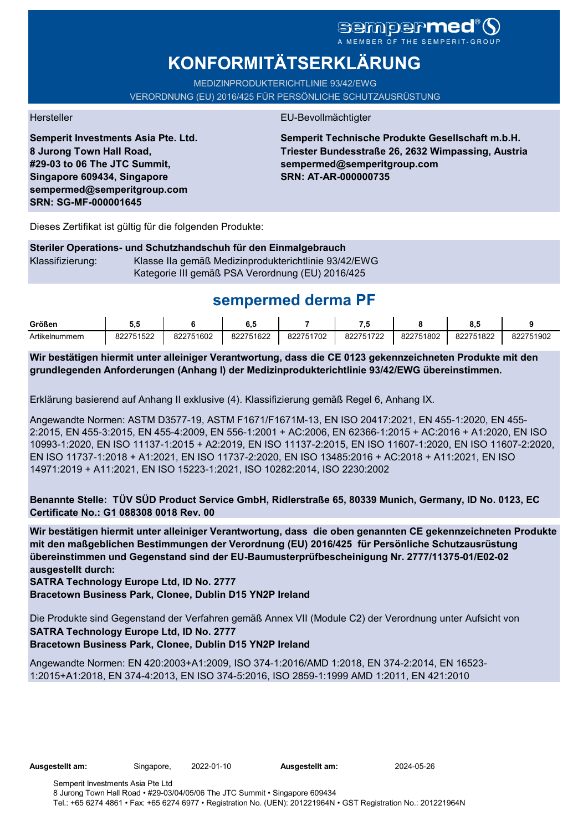# sempermed

# **KONFORMITÄTSERKLÄRUNG**

MEDIZINPRODUKTERICHTLINIE 93/42/EWG VERORDNUNG (EU) 2016/425 FÜR PERSÖNLICHE SCHUTZAUSRÜSTUNG

**Semperit Investments Asia Pte. Ltd. 8 Jurong Town Hall Road, #29-03 to 06 The JTC Summit, Singapore 609434, Singapore sempermed@semperitgroup.com SRN: SG-MF-000001645**

#### Hersteller EU-Bevollmächtigter

**Semperit Technische Produkte Gesellschaft m.b.H. Triester Bundesstraße 26, 2632 Wimpassing, Austria sempermed@semperitgroup.com SRN: AT-AR-000000735**

Dieses Zertifikat ist gültig für die folgenden Produkte:

**Steriler Operations- und Schutzhandschuh für den Einmalgebrauch** Klassifizierung: Klasse IIa gemäß Medizinprodukterichtlinie 93/42/EWG Kategorie III gemäß PSA Verordnung (EU) 2016/425

## **sempermed derma PF**

| Größen         | J.v       |           | v.u       |           | ۰. .      |           | . .<br>ο., |           |
|----------------|-----------|-----------|-----------|-----------|-----------|-----------|------------|-----------|
| Artikelnummern | 822751522 | 822751602 | 822751622 | 822751702 | 822751722 | 822751802 | 822751822  | 822751902 |

**Wir bestätigen hiermit unter alleiniger Verantwortung, dass die CE 0123 gekennzeichneten Produkte mit den grundlegenden Anforderungen (Anhang I) der Medizinprodukterichtlinie 93/42/EWG übereinstimmen.**

Erklärung basierend auf Anhang II exklusive (4). Klassifizierung gemäß Regel 6, Anhang IX.

Angewandte Normen: ASTM D3577-19, ASTM F1671/F1671M-13, EN ISO 20417:2021, EN 455-1:2020, EN 455- 2:2015, EN 455-3:2015, EN 455-4:2009, EN 556-1:2001 + AC:2006, EN 62366-1:2015 + AC:2016 + A1:2020, EN ISO 10993-1:2020, EN ISO 11137-1:2015 + A2:2019, EN ISO 11137-2:2015, EN ISO 11607-1:2020, EN ISO 11607-2:2020, EN ISO 11737-1:2018 + A1:2021, EN ISO 11737-2:2020, EN ISO 13485:2016 + AC:2018 + A11:2021, EN ISO 14971:2019 + A11:2021, EN ISO 15223-1:2021, ISO 10282:2014, ISO 2230:2002

**Benannte Stelle: TÜV SÜD Product Service GmbH, Ridlerstraße 65, 80339 Munich, Germany, ID No. 0123, EC Certificate No.: G1 088308 0018 Rev. 00** 

**Wir bestätigen hiermit unter alleiniger Verantwortung, dass die oben genannten CE gekennzeichneten Produkte mit den maßgeblichen Bestimmungen der Verordnung (EU) 2016/425 für Persönliche Schutzausrüstung übereinstimmen und Gegenstand sind der EU-Baumusterprüfbescheinigung Nr. 2777/11375-01/E02-02 ausgestellt durch:**

**SATRA Technology Europe Ltd, ID No. 2777**

**Bracetown Business Park, Clonee, Dublin D15 YN2P Ireland**

Die Produkte sind Gegenstand der Verfahren gemäß Annex VII (Module C2) der Verordnung unter Aufsicht von **SATRA Technology Europe Ltd, ID No. 2777**

**Bracetown Business Park, Clonee, Dublin D15 YN2P Ireland**

Angewandte Normen: EN 420:2003+A1:2009, ISO 374-1:2016/AMD 1:2018, EN 374-2:2014, EN 16523- 1:2015+A1:2018, EN 374-4:2013, EN ISO 374-5:2016, ISO 2859-1:1999 AMD 1:2011, EN 421:2010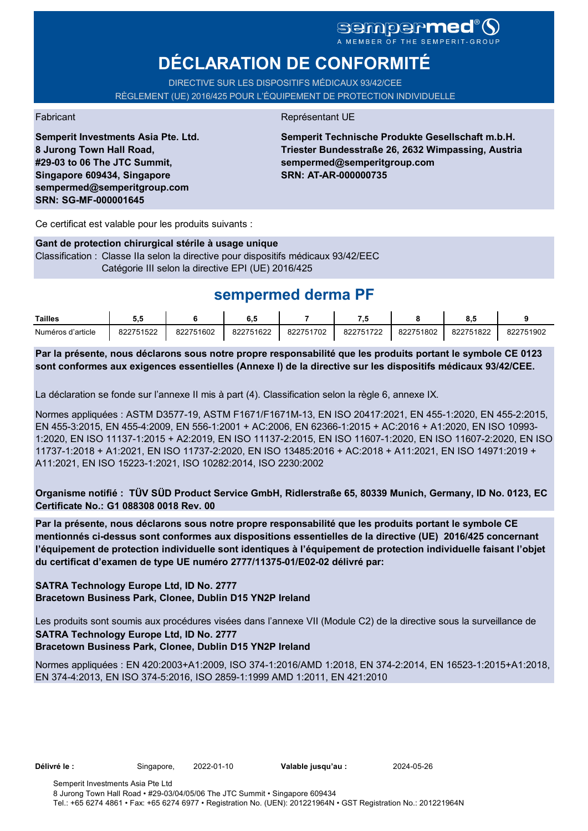# **DÉCLARATION DE CONFORMITÉ**

DIRECTIVE SUR LES DISPOSITIFS MÉDICAUX 93/42/CEE RÈGLEMENT (UE) 2016/425 POUR L'ÉQUIPEMENT DE PROTECTION INDIVIDUELLE

**Semperit Investments Asia Pte. Ltd. 8 Jurong Town Hall Road, #29-03 to 06 The JTC Summit, Singapore 609434, Singapore sempermed@semperitgroup.com SRN: SG-MF-000001645**

#### Fabricant **Représentant UE**

**Semperit Technische Produkte Gesellschaft m.b.H. Triester Bundesstraße 26, 2632 Wimpassing, Austria sempermed@semperitgroup.com SRN: AT-AR-000000735**

Ce certificat est valable pour les produits suivants :

#### **Gant de protection chirurgical stérile à usage unique**

Classification : Classe IIa selon la directive pour dispositifs médicaux 93/42/EEC Catégorie III selon la directive EPI (UE) 2016/425

## **sempermed derma PF**

| Tailles           | J.L       |           | υ         |           | .         |           | υ.,       |           |
|-------------------|-----------|-----------|-----------|-----------|-----------|-----------|-----------|-----------|
| Numéros d'article | 822751522 | 822751602 | 822751622 | 822751702 | 822751722 | 822751802 | 822751822 | 822751902 |

**Par la présente, nous déclarons sous notre propre responsabilité que les produits portant le symbole CE 0123 sont conformes aux exigences essentielles (Annexe I) de la directive sur les dispositifs médicaux 93/42/CEE.**

La déclaration se fonde sur l'annexe II mis à part (4). Classification selon la règle 6, annexe IX.

Normes appliquées : ASTM D3577-19, ASTM F1671/F1671M-13, EN ISO 20417:2021, EN 455-1:2020, EN 455-2:2015, EN 455-3:2015, EN 455-4:2009, EN 556-1:2001 + AC:2006, EN 62366-1:2015 + AC:2016 + A1:2020, EN ISO 10993- 1:2020, EN ISO 11137-1:2015 + A2:2019, EN ISO 11137-2:2015, EN ISO 11607-1:2020, EN ISO 11607-2:2020, EN ISO 11737-1:2018 + A1:2021, EN ISO 11737-2:2020, EN ISO 13485:2016 + AC:2018 + A11:2021, EN ISO 14971:2019 + A11:2021, EN ISO 15223-1:2021, ISO 10282:2014, ISO 2230:2002

**Organisme notifié : TÜV SÜD Product Service GmbH, Ridlerstraße 65, 80339 Munich, Germany, ID No. 0123, EC Certificate No.: G1 088308 0018 Rev. 00** 

**Par la présente, nous déclarons sous notre propre responsabilité que les produits portant le symbole CE mentionnés ci-dessus sont conformes aux dispositions essentielles de la directive (UE) 2016/425 concernant l'équipement de protection individuelle sont identiques à l'équipement de protection individuelle faisant l'objet du certificat d'examen de type UE numéro 2777/11375-01/E02-02 délivré par:**

#### **SATRA Technology Europe Ltd, ID No. 2777 Bracetown Business Park, Clonee, Dublin D15 YN2P Ireland**

Les produits sont soumis aux procédures visées dans l'annexe VII (Module C2) de la directive sous la surveillance de **SATRA Technology Europe Ltd, ID No. 2777**

### **Bracetown Business Park, Clonee, Dublin D15 YN2P Ireland**

Normes appliquées : EN 420:2003+A1:2009, ISO 374-1:2016/AMD 1:2018, EN 374-2:2014, EN 16523-1:2015+A1:2018, EN 374-4:2013, EN ISO 374-5:2016, ISO 2859-1:1999 AMD 1:2011, EN 421:2010

**Délivré le :** Singapore, 2022-01-10 **Valable jusqu'au :** 2024-05-26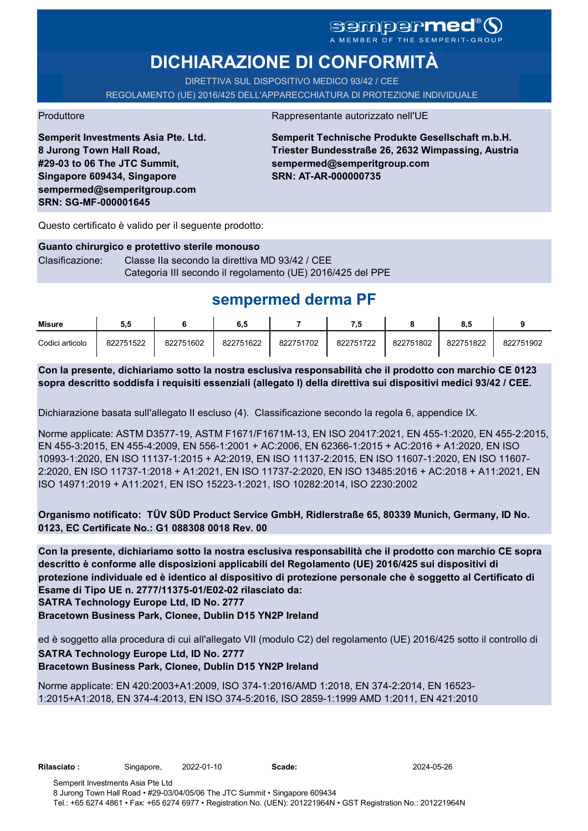### sempermed®( A MEMBER OF THE SEMPERIT-GROUP

# **DICHIARAZIONE DI CONFORMITÀ**

DIRETTIVA SUL DISPOSITIVO MEDICO 93/42 / CEE REGOLAMENTO (UE) 2016/425 DELL'APPARECCHIATURA DI PROTEZIONE INDIVIDUALE

Produttore Rappresentante autorizzato nell'UE

**Semperit Investments Asia Pte. Ltd. 8 Jurong Town Hall Road, #29-03 to 06 The JTC Summit, Singapore 609434, Singapore sempermed@semperitgroup.com SRN: SG-MF-000001645**

**Semperit Technische Produkte Gesellschaft m.b.H. Triester Bundesstraße 26, 2632 Wimpassing, Austria sempermed@semperitgroup.com SRN: AT-AR-000000735**

Questo certificato è valido per il seguente prodotto:

### **Guanto chirurgico e protettivo sterile monouso** Clasificazione: Classe IIa secondo la direttiva MD 93/42 / CEE Categoria III secondo il regolamento (UE) 2016/425 del PPE

# **sempermed derma PF**

| Misure          | 5.5       |           | 6.5       |           |           |           | õ. J      |           |
|-----------------|-----------|-----------|-----------|-----------|-----------|-----------|-----------|-----------|
| Codici articolo | 822751522 | 822751602 | 822751622 | 822751702 | 822751722 | 822751802 | 822751822 | 822751902 |

**Con la presente, dichiariamo sotto la nostra esclusiva responsabilità che il prodotto con marchio CE 0123 sopra descritto soddisfa i requisiti essenziali (allegato I) della direttiva sui dispositivi medici 93/42 / CEE.**

Dichiarazione basata sull'allegato II escluso (4). Classificazione secondo la regola 6, appendice IX.

Norme applicate: ASTM D3577-19, ASTM F1671/F1671M-13, EN ISO 20417:2021, EN 455-1:2020, EN 455-2:2015, EN 455-3:2015, EN 455-4:2009, EN 556-1:2001 + AC:2006, EN 62366-1:2015 + AC:2016 + A1:2020, EN ISO 10993-1:2020, EN ISO 11137-1:2015 + A2:2019, EN ISO 11137-2:2015, EN ISO 11607-1:2020, EN ISO 11607- 2:2020, EN ISO 11737-1:2018 + A1:2021, EN ISO 11737-2:2020, EN ISO 13485:2016 + AC:2018 + A11:2021, EN ISO 14971:2019 + A11:2021, EN ISO 15223-1:2021, ISO 10282:2014, ISO 2230:2002

**Organismo notificato: TÜV SÜD Product Service GmbH, Ridlerstraße 65, 80339 Munich, Germany, ID No. 0123, EC Certificate No.: G1 088308 0018 Rev. 00** 

**SATRA Technology Europe Ltd, ID No. 2777 Con la presente, dichiariamo sotto la nostra esclusiva responsabilità che il prodotto con marchio CE sopra descritto è conforme alle disposizioni applicabili del Regolamento (UE) 2016/425 sui dispositivi di protezione individuale ed è identico al dispositivo di protezione personale che è soggetto al Certificato di Esame di Tipo UE n. 2777/11375-01/E02-02 rilasciato da:**

**Bracetown Business Park, Clonee, Dublin D15 YN2P Ireland**

ed è soggetto alla procedura di cui all'allegato VII (modulo C2) del regolamento (UE) 2016/425 sotto il controllo di **SATRA Technology Europe Ltd, ID No. 2777**

### **Bracetown Business Park, Clonee, Dublin D15 YN2P Ireland**

Norme applicate: EN 420:2003+A1:2009, ISO 374-1:2016/AMD 1:2018, EN 374-2:2014, EN 16523- 1:2015+A1:2018, EN 374-4:2013, EN ISO 374-5:2016, ISO 2859-1:1999 AMD 1:2011, EN 421:2010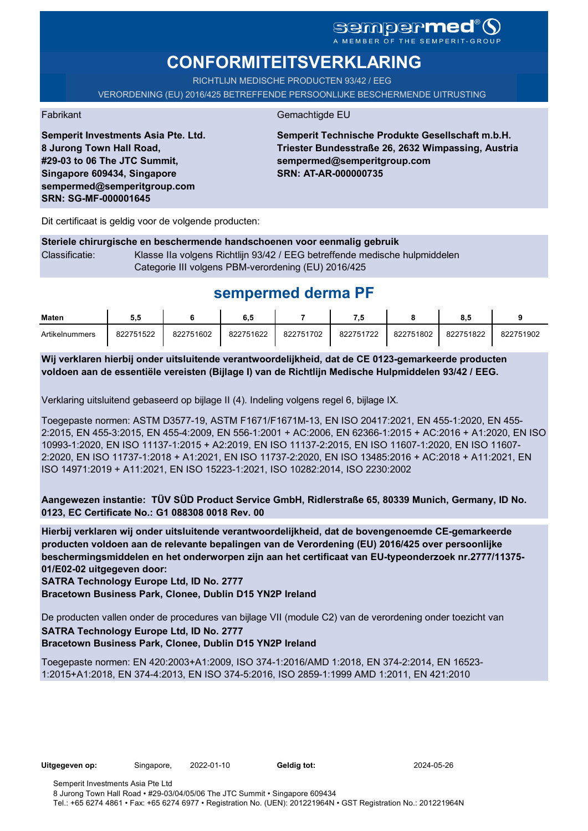# **CONFORMITEITSVERKLARING**

RICHTLIJN MEDISCHE PRODUCTEN 93/42 / EEG

VERORDENING (EU) 2016/425 BETREFFENDE PERSOONLIJKE BESCHERMENDE UITRUSTING

Fabrikant Gemachtigde EU

**Semperit Technische Produkte Gesellschaft m.b.H. Triester Bundesstraße 26, 2632 Wimpassing, Austria sempermed@semperitgroup.com SRN: AT-AR-000000735**

Dit certificaat is geldig voor de volgende producten:

**Semperit Investments Asia Pte. Ltd.**

**8 Jurong Town Hall Road, #29-03 to 06 The JTC Summit, Singapore 609434, Singapore sempermed@semperitgroup.com**

**SRN: SG-MF-000001645**

**Steriele chirurgische en beschermende handschoenen voor eenmalig gebruik** Classificatie: Klasse IIa volgens Richtlijn 93/42 / EEG betreffende medische hulpmiddelen Categorie III volgens PBM-verordening (EU) 2016/425

## **sempermed derma PF**

| <b>Maten</b>   | ວ.ວ       |           | 6.5       |           | .         |           | o.:       |           |
|----------------|-----------|-----------|-----------|-----------|-----------|-----------|-----------|-----------|
| Artikelnummers | 822751522 | 822751602 | 822751622 | 822751702 | 822751722 | 822751802 | 822751822 | 822751902 |

**Wij verklaren hierbij onder uitsluitende verantwoordelijkheid, dat de CE 0123-gemarkeerde producten voldoen aan de essentiële vereisten (Bijlage I) van de Richtlijn Medische Hulpmiddelen 93/42 / EEG.**

Verklaring uitsluitend gebaseerd op bijlage II (4). Indeling volgens regel 6, bijlage IX.

Toegepaste normen: ASTM D3577-19, ASTM F1671/F1671M-13, EN ISO 20417:2021, EN 455-1:2020, EN 455- 2:2015, EN 455-3:2015, EN 455-4:2009, EN 556-1:2001 + AC:2006, EN 62366-1:2015 + AC:2016 + A1:2020, EN ISO 10993-1:2020, EN ISO 11137-1:2015 + A2:2019, EN ISO 11137-2:2015, EN ISO 11607-1:2020, EN ISO 11607- 2:2020, EN ISO 11737-1:2018 + A1:2021, EN ISO 11737-2:2020, EN ISO 13485:2016 + AC:2018 + A11:2021, EN ISO 14971:2019 + A11:2021, EN ISO 15223-1:2021, ISO 10282:2014, ISO 2230:2002

**Aangewezen instantie: TÜV SÜD Product Service GmbH, Ridlerstraße 65, 80339 Munich, Germany, ID No. 0123, EC Certificate No.: G1 088308 0018 Rev. 00** 

**Hierbij verklaren wij onder uitsluitende verantwoordelijkheid, dat de bovengenoemde CE-gemarkeerde producten voldoen aan de relevante bepalingen van de Verordening (EU) 2016/425 over persoonlijke beschermingsmiddelen en het onderworpen zijn aan het certificaat van EU-typeonderzoek nr.2777/11375- 01/E02-02 uitgegeven door:**

**SATRA Technology Europe Ltd, ID No. 2777**

**Bracetown Business Park, Clonee, Dublin D15 YN2P Ireland**

De producten vallen onder de procedures van bijlage VII (module C2) van de verordening onder toezicht van **SATRA Technology Europe Ltd, ID No. 2777 Bracetown Business Park, Clonee, Dublin D15 YN2P Ireland**

Toegepaste normen: EN 420:2003+A1:2009, ISO 374-1:2016/AMD 1:2018, EN 374-2:2014, EN 16523- 1:2015+A1:2018, EN 374-4:2013, EN ISO 374-5:2016, ISO 2859-1:1999 AMD 1:2011, EN 421:2010

**Uitgegeven op:** Singapore, 2022-01-10 **Geldig tot:** 2024-05-26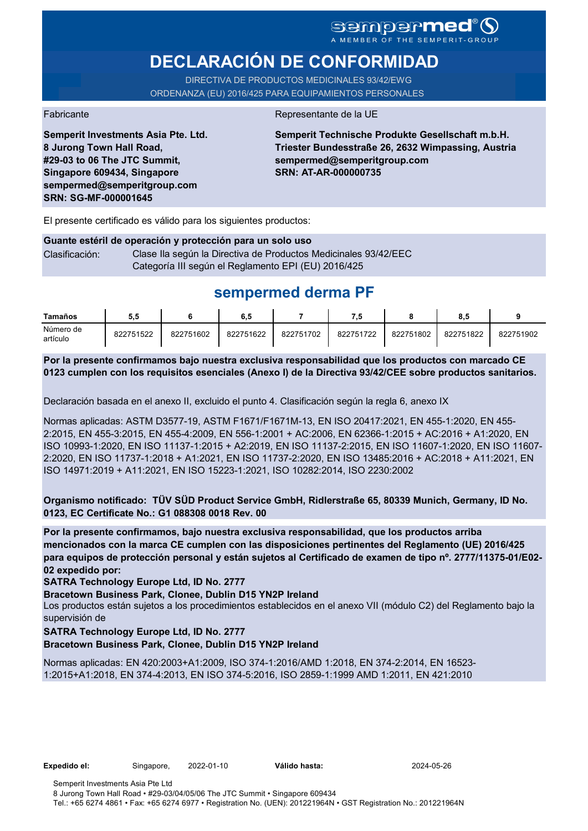### **Sempermed®** A MEMBER OF THE SEMPERIT-GROUP

# **DECLARACIÓN DE CONFORMIDAD**

DIRECTIVA DE PRODUCTOS MEDICINALES 93/42/EWG ORDENANZA (EU) 2016/425 PARA EQUIPAMIENTOS PERSONALES

**Semperit Investments Asia Pte. Ltd.**

**8 Jurong Town Hall Road, #29-03 to 06 The JTC Summit, Singapore 609434, Singapore sempermed@semperitgroup.com**

**SRN: SG-MF-000001645**

Fabricante de la UE

**Semperit Technische Produkte Gesellschaft m.b.H. Triester Bundesstraße 26, 2632 Wimpassing, Austria sempermed@semperitgroup.com SRN: AT-AR-000000735**

El presente certificado es válido para los siguientes productos:

#### **Guante estéril de operación y protección para un solo uso** Clasificación: Clase Ila según la Directiva de Productos Medicinales 93/42/EEC Categoría III según el Reglamento EPI (EU) 2016/425

## **sempermed derma PF**

| Tamaños               | 5.5       |           | 6,5       |           |           |           | 8.5       |           |
|-----------------------|-----------|-----------|-----------|-----------|-----------|-----------|-----------|-----------|
| Número de<br>artículo | 822751522 | 822751602 | 822751622 | 822751702 | 822751722 | 822751802 | 822751822 | 822751902 |

**Por la presente confirmamos bajo nuestra exclusiva responsabilidad que los productos con marcado CE 0123 cumplen con los requisitos esenciales (Anexo I) de la Directiva 93/42/CEE sobre productos sanitarios.**

Declaración basada en el anexo II, excluido el punto 4. Clasificación según la regla 6, anexo IX

Normas aplicadas: ASTM D3577-19, ASTM F1671/F1671M-13, EN ISO 20417:2021, EN 455-1:2020, EN 455- 2:2015, EN 455-3:2015, EN 455-4:2009, EN 556-1:2001 + AC:2006, EN 62366-1:2015 + AC:2016 + A1:2020, EN ISO 10993-1:2020, EN ISO 11137-1:2015 + A2:2019, EN ISO 11137-2:2015, EN ISO 11607-1:2020, EN ISO 11607- 2:2020, EN ISO 11737-1:2018 + A1:2021, EN ISO 11737-2:2020, EN ISO 13485:2016 + AC:2018 + A11:2021, EN ISO 14971:2019 + A11:2021, EN ISO 15223-1:2021, ISO 10282:2014, ISO 2230:2002

**Organismo notificado: TÜV SÜD Product Service GmbH, Ridlerstraße 65, 80339 Munich, Germany, ID No. 0123, EC Certificate No.: G1 088308 0018 Rev. 00** 

**Por la presente confirmamos, bajo nuestra exclusiva responsabilidad, que los productos arriba mencionados con la marca CE cumplen con las disposiciones pertinentes del Reglamento (UE) 2016/425 para equipos de protección personal y están sujetos al Certificado de examen de tipo nº. 2777/11375-01/E02- 02 expedido por:**

**SATRA Technology Europe Ltd, ID No. 2777**

**Bracetown Business Park, Clonee, Dublin D15 YN2P Ireland**

Los productos están sujetos a los procedimientos establecidos en el anexo VII (módulo C2) del Reglamento bajo la supervisión de

#### **SATRA Technology Europe Ltd, ID No. 2777**

**Bracetown Business Park, Clonee, Dublin D15 YN2P Ireland**

Normas aplicadas: EN 420:2003+A1:2009, ISO 374-1:2016/AMD 1:2018, EN 374-2:2014, EN 16523- 1:2015+A1:2018, EN 374-4:2013, EN ISO 374-5:2016, ISO 2859-1:1999 AMD 1:2011, EN 421:2010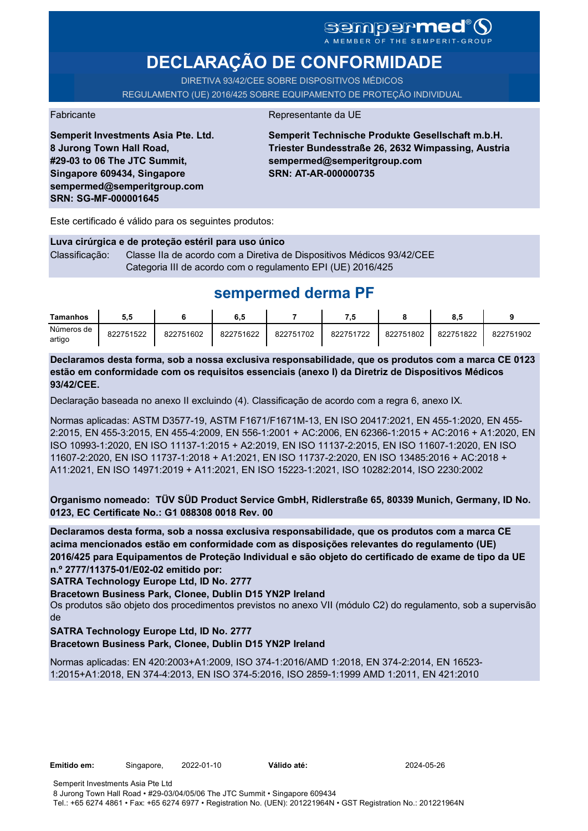# SGMDGP**MCC**<sup>®</sup>

# **DECLARAÇÃO DE CONFORMIDADE**

DIRETIVA 93/42/CEE SOBRE DISPOSITIVOS MÉDICOS REGULAMENTO (UE) 2016/425 SOBRE EQUIPAMENTO DE PROTEÇÃO INDIVIDUAL

#### Fabricante **Representante da UE**

**Semperit Investments Asia Pte. Ltd. 8 Jurong Town Hall Road, #29-03 to 06 The JTC Summit, Singapore 609434, Singapore sempermed@semperitgroup.com SRN: SG-MF-000001645**

**Semperit Technische Produkte Gesellschaft m.b.H. Triester Bundesstraße 26, 2632 Wimpassing, Austria sempermed@semperitgroup.com SRN: AT-AR-000000735**

Este certificado é válido para os seguintes produtos:

**Luva cirúrgica e de proteção estéril para uso único** Classificação: Classe IIa de acordo com a Diretiva de Dispositivos Médicos 93/42/CEE Categoria III de acordo com o regulamento EPI (UE) 2016/425

## **sempermed derma PF**

| <b>Tamanhos</b>      |           |           | 6.5       |           | 7.5       |           | ۰<br>o.c  |           |
|----------------------|-----------|-----------|-----------|-----------|-----------|-----------|-----------|-----------|
| Números de<br>artigo | 822751522 | 822751602 | 822751622 | 822751702 | 822751722 | 822751802 | 822751822 | 822751902 |

**Declaramos desta forma, sob a nossa exclusiva responsabilidade, que os produtos com a marca CE 0123 estão em conformidade com os requisitos essenciais (anexo I) da Diretriz de Dispositivos Médicos 93/42/CEE.**

Declaração baseada no anexo II excluindo (4). Classificação de acordo com a regra 6, anexo IX.

Normas aplicadas: ASTM D3577-19, ASTM F1671/F1671M-13, EN ISO 20417:2021, EN 455-1:2020, EN 455- 2:2015, EN 455-3:2015, EN 455-4:2009, EN 556-1:2001 + AC:2006, EN 62366-1:2015 + AC:2016 + A1:2020, EN ISO 10993-1:2020, EN ISO 11137-1:2015 + A2:2019, EN ISO 11137-2:2015, EN ISO 11607-1:2020, EN ISO 11607-2:2020, EN ISO 11737-1:2018 + A1:2021, EN ISO 11737-2:2020, EN ISO 13485:2016 + AC:2018 + A11:2021, EN ISO 14971:2019 + A11:2021, EN ISO 15223-1:2021, ISO 10282:2014, ISO 2230:2002

**Organismo nomeado: TÜV SÜD Product Service GmbH, Ridlerstraße 65, 80339 Munich, Germany, ID No. 0123, EC Certificate No.: G1 088308 0018 Rev. 00** 

**Declaramos desta forma, sob a nossa exclusiva responsabilidade, que os produtos com a marca CE acima mencionados estão em conformidade com as disposições relevantes do regulamento (UE) 2016/425 para Equipamentos de Proteção Individual e são objeto do certificado de exame de tipo da UE n.º 2777/11375-01/E02-02 emitido por:**

**SATRA Technology Europe Ltd, ID No. 2777**

**Bracetown Business Park, Clonee, Dublin D15 YN2P Ireland**

Os produtos são objeto dos procedimentos previstos no anexo VII (módulo C2) do regulamento, sob a supervisão de

**SATRA Technology Europe Ltd, ID No. 2777**

**Bracetown Business Park, Clonee, Dublin D15 YN2P Ireland**

Normas aplicadas: EN 420:2003+A1:2009, ISO 374-1:2016/AMD 1:2018, EN 374-2:2014, EN 16523- 1:2015+A1:2018, EN 374-4:2013, EN ISO 374-5:2016, ISO 2859-1:1999 AMD 1:2011, EN 421:2010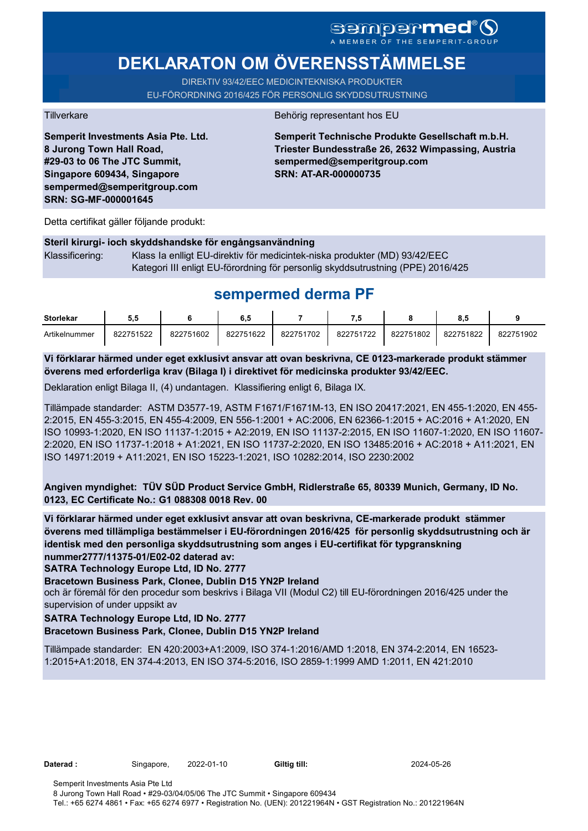# **DEKLARATON OM ÖVERENSSTÄMMELSE**

DIREkTIV 93/42/EEC MEDICINTEKNISKA PRODUKTER EU-FÖRORDNING 2016/425 FÖR PERSONLIG SKYDDSUTRUSTNING

**Semperit Investments Asia Pte. Ltd. 8 Jurong Town Hall Road, #29-03 to 06 The JTC Summit, Singapore 609434, Singapore sempermed@semperitgroup.com SRN: SG-MF-000001645**

#### Tillverkare Behörig representant hos EU

**Semperit Technische Produkte Gesellschaft m.b.H. Triester Bundesstraße 26, 2632 Wimpassing, Austria sempermed@semperitgroup.com SRN: AT-AR-000000735**

Detta certifikat gäller följande produkt:

### **Steril kirurgi- ioch skyddshandske för engångsanvändning**  Klassificering: Klass Ia enlligt EU-direktiv för medicintek-niska produkter (MD) 93/42/EEC Kategori III enligt EU-förordning för personlig skyddsutrustning (PPE) 2016/425

## **sempermed derma PF**

| <b>Storlekar</b> | J.J       |           | 6,5       |           |           |           |           |           |
|------------------|-----------|-----------|-----------|-----------|-----------|-----------|-----------|-----------|
| Artikelnummer    | 822751522 | 822751602 | 822751622 | 822751702 | 822751722 | 822751802 | 822751822 | 822751902 |

**Vi förklarar härmed under eget exklusivt ansvar att ovan beskrivna, CE 0123-markerade produkt stämmer överens med erforderliga krav (Bilaga I) i direktivet för medicinska produkter 93/42/EEC.**

Deklaration enligt Bilaga II, (4) undantagen. Klassifiering enligt 6, Bilaga IX.

Tillämpade standarder: ASTM D3577-19, ASTM F1671/F1671M-13, EN ISO 20417:2021, EN 455-1:2020, EN 455- 2:2015, EN 455-3:2015, EN 455-4:2009, EN 556-1:2001 + AC:2006, EN 62366-1:2015 + AC:2016 + A1:2020, EN ISO 10993-1:2020, EN ISO 11137-1:2015 + A2:2019, EN ISO 11137-2:2015, EN ISO 11607-1:2020, EN ISO 11607- 2:2020, EN ISO 11737-1:2018 + A1:2021, EN ISO 11737-2:2020, EN ISO 13485:2016 + AC:2018 + A11:2021, EN ISO 14971:2019 + A11:2021, EN ISO 15223-1:2021, ISO 10282:2014, ISO 2230:2002

**Angiven myndighet: TÜV SÜD Product Service GmbH, Ridlerstraße 65, 80339 Munich, Germany, ID No. 0123, EC Certificate No.: G1 088308 0018 Rev. 00** 

**Vi förklarar härmed under eget exklusivt ansvar att ovan beskrivna, CE-markerade produkt stämmer överens med tillämpliga bestämmelser i EU-förordningen 2016/425 för personlig skyddsutrustning och är identisk med den personliga skyddsutrustning som anges i EU-certifikat för typgranskning nummer2777/11375-01/E02-02 daterad av:**

**SATRA Technology Europe Ltd, ID No. 2777**

**Bracetown Business Park, Clonee, Dublin D15 YN2P Ireland**

och är föremål för den procedur som beskrivs i Bilaga VII (Modul C2) till EU-förordningen 2016/425 under the supervision of under uppsikt av

### **SATRA Technology Europe Ltd, ID No. 2777**

### **Bracetown Business Park, Clonee, Dublin D15 YN2P Ireland**

Tillämpade standarder: EN 420:2003+A1:2009, ISO 374-1:2016/AMD 1:2018, EN 374-2:2014, EN 16523- 1:2015+A1:2018, EN 374-4:2013, EN ISO 374-5:2016, ISO 2859-1:1999 AMD 1:2011, EN 421:2010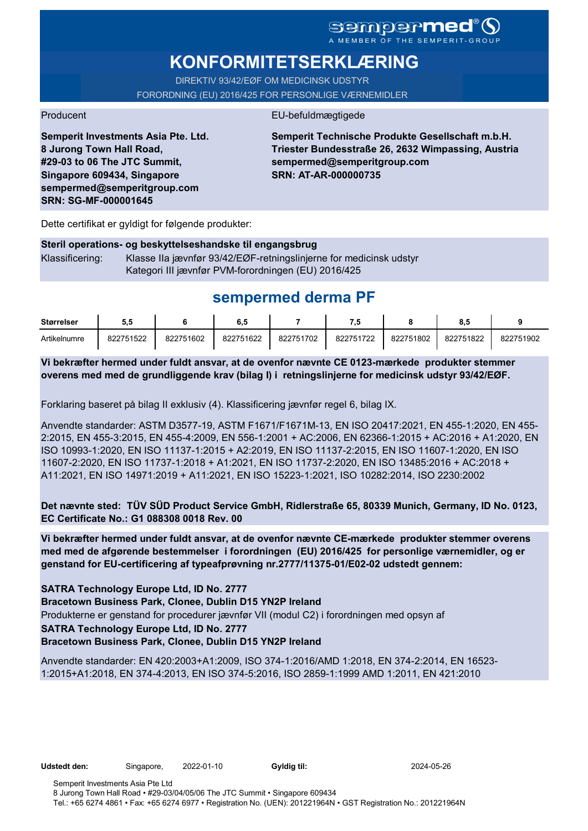# **KONFORMITETSERKLÆRING**

DIREKTIV 93/42/EØF OM MEDICINSK UDSTYR FORORDNING (EU) 2016/425 FOR PERSONLIGE VÆRNEMIDLER

### Producent EU-befuldmægtigede

**Semperit Investments Asia Pte. Ltd. 8 Jurong Town Hall Road, #29-03 to 06 The JTC Summit, Singapore 609434, Singapore sempermed@semperitgroup.com SRN: SG-MF-000001645**

**Semperit Technische Produkte Gesellschaft m.b.H. Triester Bundesstraße 26, 2632 Wimpassing, Austria sempermed@semperitgroup.com SRN: AT-AR-000000735**

Dette certifikat er gyldigt for følgende produkter:

|                 | Steril operations- og beskyttelseshandske til engangsbrug          |
|-----------------|--------------------------------------------------------------------|
| Klassificering: | Klasse IIa jævnfør 93/42/EØF-retningslinjerne for medicinsk udstyr |
|                 | Kategori III jævnfør PVM-forordningen (EU) 2016/425                |

# **sempermed derma PF**

| <b>Størrelser</b> | ວ.ວ       |           | ხ.მ       |           | . .       |           | o.c       |           |
|-------------------|-----------|-----------|-----------|-----------|-----------|-----------|-----------|-----------|
| Artikelnumre      | 822751522 | 822751602 | 822751622 | 822751702 | 822751722 | 822751802 | 822751822 | 822751902 |

**Vi bekræfter hermed under fuldt ansvar, at de ovenfor nævnte CE 0123-mærkede produkter stemmer overens med med de grundliggende krav (bilag I) i retningslinjerne for medicinsk udstyr 93/42/EØF.**

Forklaring baseret på bilag II exklusiv (4). Klassificering jævnfør regel 6, bilag IX.

Anvendte standarder: ASTM D3577-19, ASTM F1671/F1671M-13, EN ISO 20417:2021, EN 455-1:2020, EN 455- 2:2015, EN 455-3:2015, EN 455-4:2009, EN 556-1:2001 + AC:2006, EN 62366-1:2015 + AC:2016 + A1:2020, EN ISO 10993-1:2020, EN ISO 11137-1:2015 + A2:2019, EN ISO 11137-2:2015, EN ISO 11607-1:2020, EN ISO 11607-2:2020, EN ISO 11737-1:2018 + A1:2021, EN ISO 11737-2:2020, EN ISO 13485:2016 + AC:2018 + A11:2021, EN ISO 14971:2019 + A11:2021, EN ISO 15223-1:2021, ISO 10282:2014, ISO 2230:2002

**Det nævnte sted: TÜV SÜD Product Service GmbH, Ridlerstraße 65, 80339 Munich, Germany, ID No. 0123, EC Certificate No.: G1 088308 0018 Rev. 00** 

**Vi bekræfter hermed under fuldt ansvar, at de ovenfor nævnte CE-mærkede produkter stemmer overens med med de afgørende bestemmelser i forordningen (EU) 2016/425 for personlige værnemidler, og er genstand for EU-certificering af typeafprøvning nr.2777/11375-01/E02-02 udstedt gennem:**

#### **SATRA Technology Europe Ltd, ID No. 2777**

**Bracetown Business Park, Clonee, Dublin D15 YN2P Ireland**

Produkterne er genstand for procedurer jævnfør VII (modul C2) i forordningen med opsyn af

### **SATRA Technology Europe Ltd, ID No. 2777**

**Bracetown Business Park, Clonee, Dublin D15 YN2P Ireland**

Anvendte standarder: EN 420:2003+A1:2009, ISO 374-1:2016/AMD 1:2018, EN 374-2:2014, EN 16523- 1:2015+A1:2018, EN 374-4:2013, EN ISO 374-5:2016, ISO 2859-1:1999 AMD 1:2011, EN 421:2010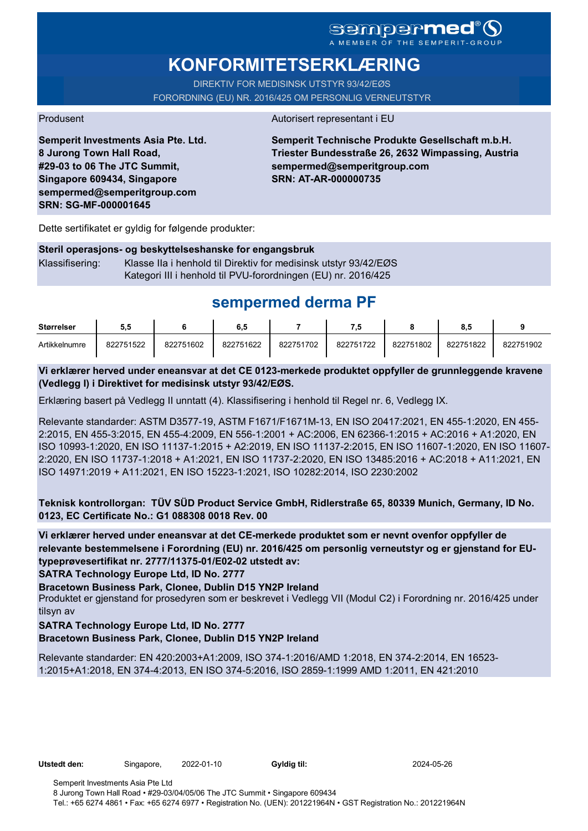### **Sempermed** MEMBER OF THE SEMPERIT-GROUP

# **KONFORMITETSERKLÆRING**

DIREKTIV FOR MEDISINSK UTSTYR 93/42/EØS FORORDNING (EU) NR. 2016/425 OM PERSONLIG VERNEUTSTYR

#### Produsent Autorisert representant i EU

**Semperit Investments Asia Pte. Ltd. 8 Jurong Town Hall Road, #29-03 to 06 The JTC Summit, Singapore 609434, Singapore sempermed@semperitgroup.com SRN: SG-MF-000001645**

**Semperit Technische Produkte Gesellschaft m.b.H. Triester Bundesstraße 26, 2632 Wimpassing, Austria sempermed@semperitgroup.com SRN: AT-AR-000000735**

Dette sertifikatet er gyldig for følgende produkter:

#### **Steril operasjons- og beskyttelseshanske for engangsbruk**

Klassifisering: Klasse IIa i henhold til Direktiv for medisinsk utstyr 93/42/EØS Kategori III i henhold til PVU-forordningen (EU) nr. 2016/425

# **sempermed derma PF**

| <b>Størrelser</b> | 5.5       |           | 6.5       |           | - 9       |           | 0.        |           |
|-------------------|-----------|-----------|-----------|-----------|-----------|-----------|-----------|-----------|
| Artikkelnumre     | 822751522 | 822751602 | 822751622 | 822751702 | 822751722 | 822751802 | 822751822 | 822751902 |

#### **Vi erklærer herved under eneansvar at det CE 0123-merkede produktet oppfyller de grunnleggende kravene (Vedlegg I) i Direktivet for medisinsk utstyr 93/42/EØS.**

Erklæring basert på Vedlegg II unntatt (4). Klassifisering i henhold til Regel nr. 6, Vedlegg IX.

Relevante standarder: ASTM D3577-19, ASTM F1671/F1671M-13, EN ISO 20417:2021, EN 455-1:2020, EN 455- 2:2015, EN 455-3:2015, EN 455-4:2009, EN 556-1:2001 + AC:2006, EN 62366-1:2015 + AC:2016 + A1:2020, EN ISO 10993-1:2020, EN ISO 11137-1:2015 + A2:2019, EN ISO 11137-2:2015, EN ISO 11607-1:2020, EN ISO 11607- 2:2020, EN ISO 11737-1:2018 + A1:2021, EN ISO 11737-2:2020, EN ISO 13485:2016 + AC:2018 + A11:2021, EN ISO 14971:2019 + A11:2021, EN ISO 15223-1:2021, ISO 10282:2014, ISO 2230:2002

**Teknisk kontrollorgan: TÜV SÜD Product Service GmbH, Ridlerstraße 65, 80339 Munich, Germany, ID No. 0123, EC Certificate No.: G1 088308 0018 Rev. 00** 

**Vi erklærer herved under eneansvar at det CE-merkede produktet som er nevnt ovenfor oppfyller de relevante bestemmelsene i Forordning (EU) nr. 2016/425 om personlig verneutstyr og er gjenstand for EUtypeprøvesertifikat nr. 2777/11375-01/E02-02 utstedt av:**

**SATRA Technology Europe Ltd, ID No. 2777**

**Bracetown Business Park, Clonee, Dublin D15 YN2P Ireland**

Produktet er gjenstand for prosedyren som er beskrevet i Vedlegg VII (Modul C2) i Forordning nr. 2016/425 under tilsyn av

#### **SATRA Technology Europe Ltd, ID No. 2777**

**Bracetown Business Park, Clonee, Dublin D15 YN2P Ireland**

Relevante standarder: EN 420:2003+A1:2009, ISO 374-1:2016/AMD 1:2018, EN 374-2:2014, EN 16523- 1:2015+A1:2018, EN 374-4:2013, EN ISO 374-5:2016, ISO 2859-1:1999 AMD 1:2011, EN 421:2010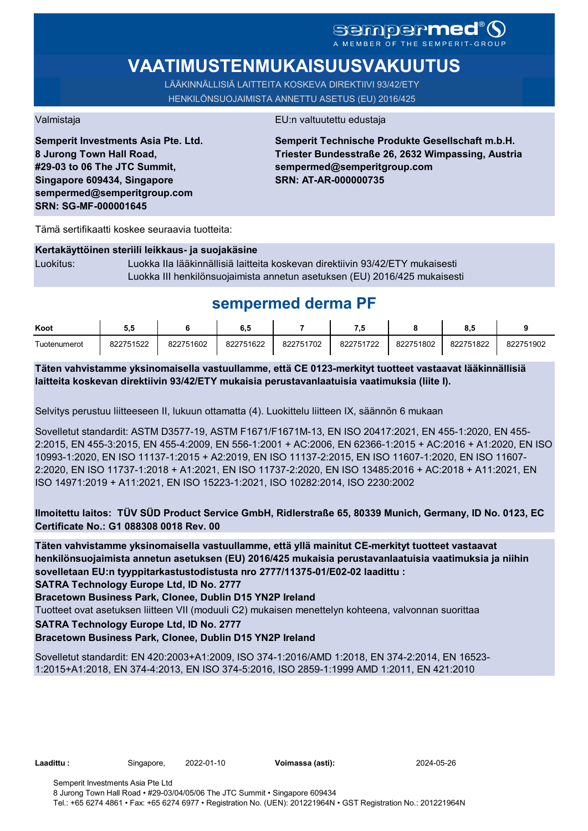# SCMDOCPMCO

# **VAATIMUSTENMUKAISUUSVAKUUTUS**

LÄÄKINNÄLLISIÄ LAITTEITA KOSKEVA DIREKTIIVI 93/42/ETY HENKILÖNSUOJAIMISTA ANNETTU ASETUS (EU) 2016/425

**Semperit Investments Asia Pte. Ltd. 8 Jurong Town Hall Road, #29-03 to 06 The JTC Summit, Singapore 609434, Singapore sempermed@semperitgroup.com SRN: SG-MF-000001645**

#### Valmistaja EU:n valtuutettu edustaja

**Semperit Technische Produkte Gesellschaft m.b.H. Triester Bundesstraße 26, 2632 Wimpassing, Austria sempermed@semperitgroup.com SRN: AT-AR-000000735**

Tämä sertifikaatti koskee seuraavia tuotteita:

#### **Kertakäyttöinen steriili leikkaus- ja suojakäsine**

Luokitus: Luokka IIa lääkinnällisiä laitteita koskevan direktiivin 93/42/ETY mukaisesti Luokka III henkilönsuojaimista annetun asetuksen (EU) 2016/425 mukaisesti

## **sempermed derma PF**

| Koot         | ບ.ເ       |           | 6.5       |           | - 7       |           | υ.,       |           |
|--------------|-----------|-----------|-----------|-----------|-----------|-----------|-----------|-----------|
| Tuotenumerot | 822751522 | 822751602 | 822751622 | 822751702 | 822751722 | 822751802 | 822751822 | 822751902 |

**Täten vahvistamme yksinomaisella vastuullamme, että CE 0123-merkityt tuotteet vastaavat lääkinnällisiä laitteita koskevan direktiivin 93/42/ETY mukaisia perustavanlaatuisia vaatimuksia (liite I).**

Selvitys perustuu liitteeseen II, lukuun ottamatta (4). Luokittelu liitteen IX, säännön 6 mukaan

Sovelletut standardit: ASTM D3577-19, ASTM F1671/F1671M-13, EN ISO 20417:2021, EN 455-1:2020, EN 455- 2:2015, EN 455-3:2015, EN 455-4:2009, EN 556-1:2001 + AC:2006, EN 62366-1:2015 + AC:2016 + A1:2020, EN ISO 10993-1:2020, EN ISO 11137-1:2015 + A2:2019, EN ISO 11137-2:2015, EN ISO 11607-1:2020, EN ISO 11607- 2:2020, EN ISO 11737-1:2018 + A1:2021, EN ISO 11737-2:2020, EN ISO 13485:2016 + AC:2018 + A11:2021, EN ISO 14971:2019 + A11:2021, EN ISO 15223-1:2021, ISO 10282:2014, ISO 2230:2002

### **Ilmoitettu laitos: TÜV SÜD Product Service GmbH, Ridlerstraße 65, 80339 Munich, Germany, ID No. 0123, EC Certificate No.: G1 088308 0018 Rev. 00**

**Täten vahvistamme yksinomaisella vastuullamme, että yllä mainitut CE-merkityt tuotteet vastaavat henkilönsuojaimista annetun asetuksen (EU) 2016/425 mukaisia perustavanlaatuisia vaatimuksia ja niihin sovelletaan EU:n tyyppitarkastustodistusta nro 2777/11375-01/E02-02 laadittu :**

**SATRA Technology Europe Ltd, ID No. 2777**

**Bracetown Business Park, Clonee, Dublin D15 YN2P Ireland**

Tuotteet ovat asetuksen liitteen VII (moduuli C2) mukaisen menettelyn kohteena, valvonnan suorittaa

**SATRA Technology Europe Ltd, ID No. 2777**

#### **Bracetown Business Park, Clonee, Dublin D15 YN2P Ireland**

Sovelletut standardit: EN 420:2003+A1:2009, ISO 374-1:2016/AMD 1:2018, EN 374-2:2014, EN 16523- 1:2015+A1:2018, EN 374-4:2013, EN ISO 374-5:2016, ISO 2859-1:1999 AMD 1:2011, EN 421:2010

**Laadittu :** Singapore, 2022-01-10 **Voimassa (asti):** 2024-05-26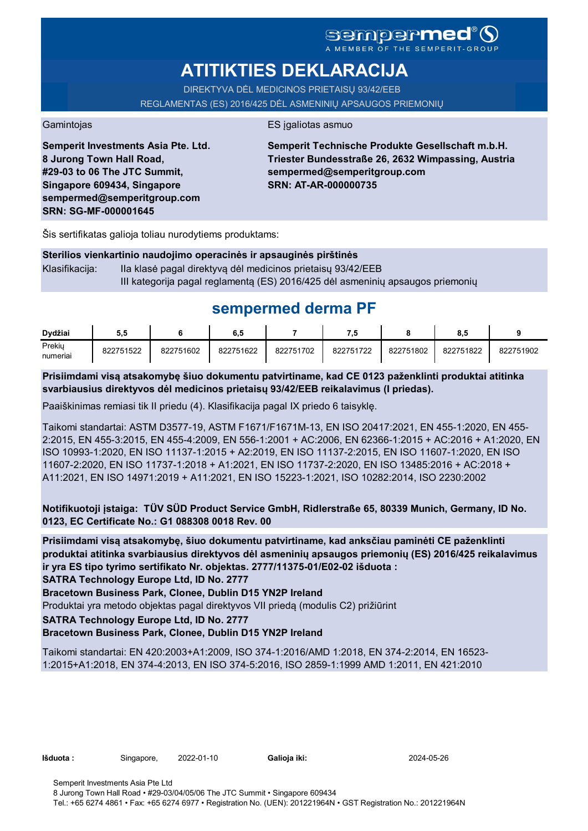## **Sempermed** A MEMBER OF THE SEMPERIT-GROUP

# **ATITIKTIES DEKLARACIJA**

DIREKTYVA DĖL MEDICINOS PRIETAISŲ 93/42/EEB REGLAMENTAS (ES) 2016/425 DĖL ASMENINIŲ APSAUGOS PRIEMONIŲ

Gamintojas **ES** įgaliotas asmuo

**Semperit Investments Asia Pte. Ltd. 8 Jurong Town Hall Road, #29-03 to 06 The JTC Summit, Singapore 609434, Singapore sempermed@semperitgroup.com SRN: SG-MF-000001645**

**Semperit Technische Produkte Gesellschaft m.b.H. Triester Bundesstraße 26, 2632 Wimpassing, Austria sempermed@semperitgroup.com SRN: AT-AR-000000735**

Šis sertifikatas galioja toliau nurodytiems produktams:

**Sterilios vienkartinio naudojimo operacinės ir apsauginės pirštinės** Klasifikacija: Ila klasė pagal direktyva dėl medicinos prietaisų 93/42/EEB III kategorija pagal reglamentą (ES) 2016/425 dėl asmeninių apsaugos priemonių

# **sempermed derma PF**

| Dvdžiai            | 5.5       |           | 6.5       |           |           |           | $\bullet$<br>ο., |           |
|--------------------|-----------|-----------|-----------|-----------|-----------|-----------|------------------|-----------|
| Prekiy<br>numeriai | 822751522 | 822751602 | 822751622 | 822751702 | 822751722 | 822751802 | 822751822        | 822751902 |

**Prisiimdami visą atsakomybę šiuo dokumentu patvirtiname, kad CE 0123 paženklinti produktai atitinka svarbiausius direktyvos dėl medicinos prietaisų 93/42/EEB reikalavimus (I priedas).**

Paaiškinimas remiasi tik II priedu (4). Klasifikacija pagal IX priedo 6 taisyklę.

Taikomi standartai: ASTM D3577-19, ASTM F1671/F1671M-13, EN ISO 20417:2021, EN 455-1:2020, EN 455- 2:2015, EN 455-3:2015, EN 455-4:2009, EN 556-1:2001 + AC:2006, EN 62366-1:2015 + AC:2016 + A1:2020, EN ISO 10993-1:2020, EN ISO 11137-1:2015 + A2:2019, EN ISO 11137-2:2015, EN ISO 11607-1:2020, EN ISO 11607-2:2020, EN ISO 11737-1:2018 + A1:2021, EN ISO 11737-2:2020, EN ISO 13485:2016 + AC:2018 + A11:2021, EN ISO 14971:2019 + A11:2021, EN ISO 15223-1:2021, ISO 10282:2014, ISO 2230:2002

**Notifikuotoji įstaiga: TÜV SÜD Product Service GmbH, Ridlerstraße 65, 80339 Munich, Germany, ID No. 0123, EC Certificate No.: G1 088308 0018 Rev. 00** 

**Prisiimdami visą atsakomybę, šiuo dokumentu patvirtiname, kad anksčiau paminėti CE paženklinti produktai atitinka svarbiausius direktyvos dėl asmeninių apsaugos priemonių (ES) 2016/425 reikalavimus ir yra ES tipo tyrimo sertifikato Nr. objektas. 2777/11375-01/E02-02 išduota :**

**SATRA Technology Europe Ltd, ID No. 2777**

**Bracetown Business Park, Clonee, Dublin D15 YN2P Ireland**

Produktai yra metodo objektas pagal direktyvos VII priedą (modulis C2) prižiūrint

**SATRA Technology Europe Ltd, ID No. 2777**

#### **Bracetown Business Park, Clonee, Dublin D15 YN2P Ireland**

Taikomi standartai: EN 420:2003+A1:2009, ISO 374-1:2016/AMD 1:2018, EN 374-2:2014, EN 16523- 1:2015+A1:2018, EN 374-4:2013, EN ISO 374-5:2016, ISO 2859-1:1999 AMD 1:2011, EN 421:2010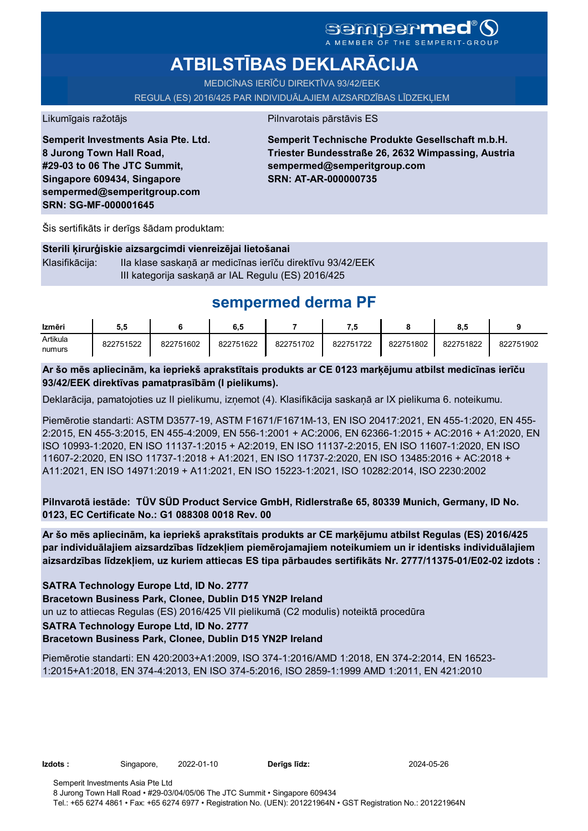## **sempermed** A MEMBER OF THE SEMPERIT-GROUP

# **ATBILSTĪBAS DEKLARĀCIJA**

MEDICĪNAS IERĪČU DIREKTĪVA 93/42/EEK

REGULA (ES) 2016/425 PAR INDIVIDUĀLAJIEM AIZSARDZĪBAS LĪDZEKĻIEM

Likumīgais ražotājs **Pilnvarotais pārstāvis ES** 

**Semperit Investments Asia Pte. Ltd. 8 Jurong Town Hall Road, #29-03 to 06 The JTC Summit, Singapore 609434, Singapore sempermed@semperitgroup.com SRN: SG-MF-000001645**

**Semperit Technische Produkte Gesellschaft m.b.H. Triester Bundesstraße 26, 2632 Wimpassing, Austria sempermed@semperitgroup.com SRN: AT-AR-000000735**

Šis sertifikāts ir derīgs šādam produktam:

#### **Sterili ķirurģiskie aizsargcimdi vienreizējai lietošanai**

Klasifikācija: IIa klase saskaņā ar medicīnas ierīču direktīvu 93/42/EEK III kategorija saskaņā ar IAL Regulu (ES) 2016/425

# **sempermed derma PF**

| Izmēri   | 5.5       |           | 6.5       |           | 7.5       |           |           |           |
|----------|-----------|-----------|-----------|-----------|-----------|-----------|-----------|-----------|
| Artikula | 822751522 | 822751602 | 822751622 | 822751702 | 822751722 | 822751802 | 822751822 | 822751902 |
| numurs   |           |           |           |           |           |           |           |           |

#### **Ar šo mēs apliecinām, ka iepriekš aprakstītais produkts ar CE 0123 marķējumu atbilst medicīnas ierīču 93/42/EEK direktīvas pamatprasībām (I pielikums).**

Deklarācija, pamatojoties uz II pielikumu, izņemot (4). Klasifikācija saskaņā ar IX pielikuma 6. noteikumu.

Piemērotie standarti: ASTM D3577-19, ASTM F1671/F1671M-13, EN ISO 20417:2021, EN 455-1:2020, EN 455- 2:2015, EN 455-3:2015, EN 455-4:2009, EN 556-1:2001 + AC:2006, EN 62366-1:2015 + AC:2016 + A1:2020, EN ISO 10993-1:2020, EN ISO 11137-1:2015 + A2:2019, EN ISO 11137-2:2015, EN ISO 11607-1:2020, EN ISO 11607-2:2020, EN ISO 11737-1:2018 + A1:2021, EN ISO 11737-2:2020, EN ISO 13485:2016 + AC:2018 + A11:2021, EN ISO 14971:2019 + A11:2021, EN ISO 15223-1:2021, ISO 10282:2014, ISO 2230:2002

**Pilnvarotā iestāde: TÜV SÜD Product Service GmbH, Ridlerstraße 65, 80339 Munich, Germany, ID No. 0123, EC Certificate No.: G1 088308 0018 Rev. 00** 

**Ar šo mēs apliecinām, ka iepriekš aprakstītais produkts ar CE marķējumu atbilst Regulas (ES) 2016/425 par individuālajiem aizsardzības līdzekļiem piemērojamajiem noteikumiem un ir identisks individuālajiem aizsardzības līdzekļiem, uz kuriem attiecas ES tipa pārbaudes sertifikāts Nr. 2777/11375-01/E02-02 izdots :**

**SATRA Technology Europe Ltd, ID No. 2777**

**Bracetown Business Park, Clonee, Dublin D15 YN2P Ireland**

un uz to attiecas Regulas (ES) 2016/425 VII pielikumā (C2 modulis) noteiktā procedūra

#### **SATRA Technology Europe Ltd, ID No. 2777**

#### **Bracetown Business Park, Clonee, Dublin D15 YN2P Ireland**

Piemērotie standarti: EN 420:2003+A1:2009, ISO 374-1:2016/AMD 1:2018, EN 374-2:2014, EN 16523- 1:2015+A1:2018, EN 374-4:2013, EN ISO 374-5:2016, ISO 2859-1:1999 AMD 1:2011, EN 421:2010

**Izdots :** Singapore, 2022-01-10 **Derīgs līdz:** 2024-05-26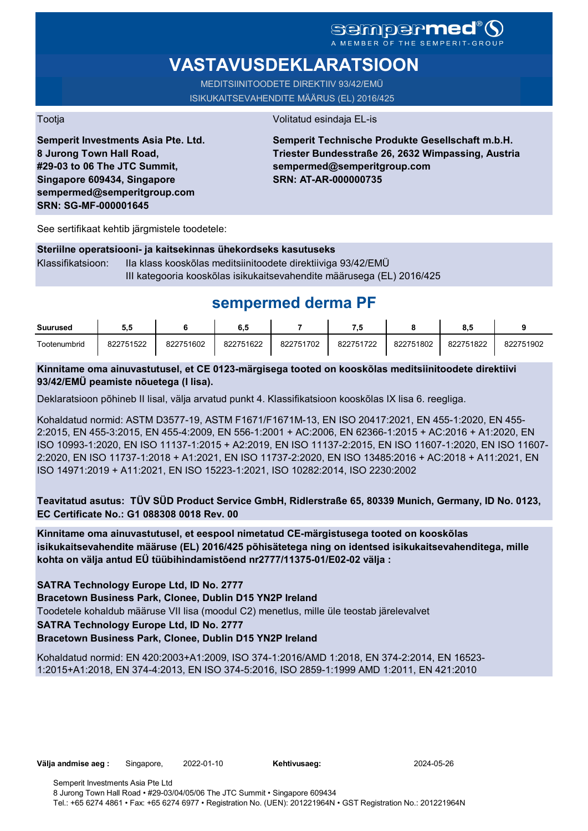### Sempermed A MEMBER OF THE SEMPERIT-GROUP

# **VASTAVUSDEKLARATSIOON**

MEDITSIINITOODETE DIREKTIIV 93/42/EMÜ ISIKUKAITSEVAHENDITE MÄÄRUS (EL) 2016/425

Tootja Volitatud esindaja EL-is

**Semperit Investments Asia Pte. Ltd. 8 Jurong Town Hall Road, #29-03 to 06 The JTC Summit, Singapore 609434, Singapore sempermed@semperitgroup.com SRN: SG-MF-000001645**

### **Semperit Technische Produkte Gesellschaft m.b.H. Triester Bundesstraße 26, 2632 Wimpassing, Austria sempermed@semperitgroup.com SRN: AT-AR-000000735**

See sertifikaat kehtib järgmistele toodetele:

#### **Steriilne operatsiooni- ja kaitsekinnas ühekordseks kasutuseks**

Klassifikatsioon: IIa klass kooskõlas meditsiinitoodete direktiiviga 93/42/EMÜ III kategooria kooskõlas isikukaitsevahendite määrusega (EL) 2016/425

# **sempermed derma PF**

| <b>Suurused</b> | 5.C       |           | 6,5       |           | ه.        |           | o.c       |           |
|-----------------|-----------|-----------|-----------|-----------|-----------|-----------|-----------|-----------|
| Tootenumbrid    | 822751522 | 822751602 | 822751622 | 822751702 | 822751722 | 822751802 | 822751822 | 822751902 |

### **Kinnitame oma ainuvastutusel, et CE 0123-märgisega tooted on kooskõlas meditsiinitoodete direktiivi 93/42/EMÜ peamiste nõuetega (I lisa).**

Deklaratsioon põhineb II lisal, välja arvatud punkt 4. Klassifikatsioon kooskõlas IX lisa 6. reegliga.

Kohaldatud normid: ASTM D3577-19, ASTM F1671/F1671M-13, EN ISO 20417:2021, EN 455-1:2020, EN 455- 2:2015, EN 455-3:2015, EN 455-4:2009, EN 556-1:2001 + AC:2006, EN 62366-1:2015 + AC:2016 + A1:2020, EN ISO 10993-1:2020, EN ISO 11137-1:2015 + A2:2019, EN ISO 11137-2:2015, EN ISO 11607-1:2020, EN ISO 11607- 2:2020, EN ISO 11737-1:2018 + A1:2021, EN ISO 11737-2:2020, EN ISO 13485:2016 + AC:2018 + A11:2021, EN ISO 14971:2019 + A11:2021, EN ISO 15223-1:2021, ISO 10282:2014, ISO 2230:2002

**Teavitatud asutus: TÜV SÜD Product Service GmbH, Ridlerstraße 65, 80339 Munich, Germany, ID No. 0123, EC Certificate No.: G1 088308 0018 Rev. 00** 

**Kinnitame oma ainuvastutusel, et eespool nimetatud CE-märgistusega tooted on kooskõlas isikukaitsevahendite määruse (EL) 2016/425 põhisätetega ning on identsed isikukaitsevahenditega, mille kohta on välja antud EÜ tüübihindamistõend nr2777/11375-01/E02-02 välja :**

**SATRA Technology Europe Ltd, ID No. 2777**

**Bracetown Business Park, Clonee, Dublin D15 YN2P Ireland**

Toodetele kohaldub määruse VII lisa (moodul C2) menetlus, mille üle teostab järelevalvet

**SATRA Technology Europe Ltd, ID No. 2777**

### **Bracetown Business Park, Clonee, Dublin D15 YN2P Ireland**

Kohaldatud normid: EN 420:2003+A1:2009, ISO 374-1:2016/AMD 1:2018, EN 374-2:2014, EN 16523- 1:2015+A1:2018, EN 374-4:2013, EN ISO 374-5:2016, ISO 2859-1:1999 AMD 1:2011, EN 421:2010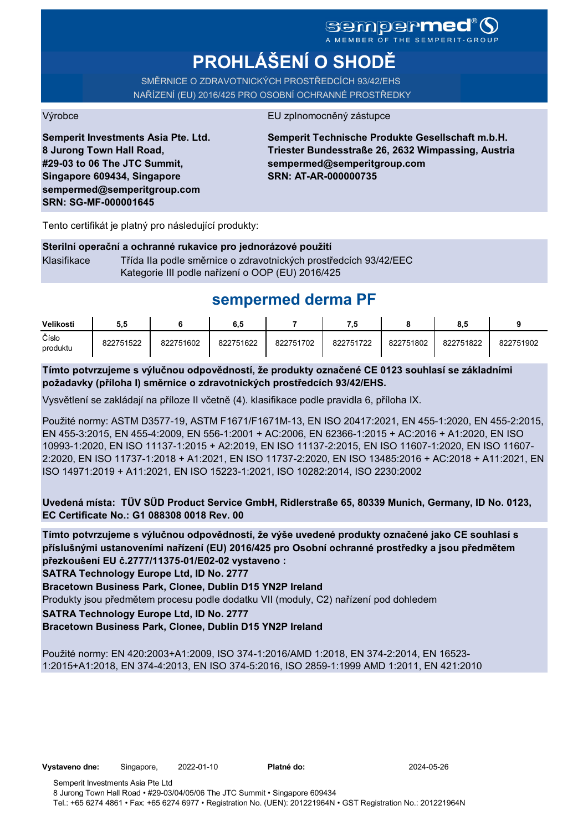### **Sempermed** A MEMBER OF THE SEMPERIT-GROUP

# **PROHLÁŠENÍ O SHODĚ**

SMĚRNICE O ZDRAVOTNICKÝCH PROSTŘEDCÍCH 93/42/EHS NAŘÍZENÍ (EU) 2016/425 PRO OSOBNÍ OCHRANNÉ PROSTŘEDKY

#### Výrobce EU zplnomocněný zástupce

**Semperit Investments Asia Pte. Ltd. 8 Jurong Town Hall Road, #29-03 to 06 The JTC Summit, Singapore 609434, Singapore sempermed@semperitgroup.com SRN: SG-MF-000001645**

**Semperit Technische Produkte Gesellschaft m.b.H. Triester Bundesstraße 26, 2632 Wimpassing, Austria sempermed@semperitgroup.com SRN: AT-AR-000000735**

Tento certifikát je platný pro následující produkty:

#### **Sterilní operační a ochranné rukavice pro jednorázové použití**

Klasifikace Třída IIa podle směrnice o zdravotnických prostředcích 93/42/EEC Kategorie III podle nařízení o OOP (EU) 2016/425

# **sempermed derma PF**

| Velikosti         | 5.5       |           | 6.5       |           | 7,5       |           | 8.5       |           |
|-------------------|-----------|-----------|-----------|-----------|-----------|-----------|-----------|-----------|
| Číslo<br>produktu | 822751522 | 822751602 | 822751622 | 822751702 | 822751722 | 822751802 | 822751822 | 822751902 |

**Tímto potvrzujeme s výlučnou odpovědností, že produkty označené CE 0123 souhlasí se základními požadavky (příloha I) směrnice o zdravotnických prostředcích 93/42/EHS.**

Vysvětlení se zakládají na příloze II včetně (4). klasifikace podle pravidla 6, příloha IX.

Použité normy: ASTM D3577-19, ASTM F1671/F1671M-13, EN ISO 20417:2021, EN 455-1:2020, EN 455-2:2015, EN 455-3:2015, EN 455-4:2009, EN 556-1:2001 + AC:2006, EN 62366-1:2015 + AC:2016 + A1:2020, EN ISO 10993-1:2020, EN ISO 11137-1:2015 + A2:2019, EN ISO 11137-2:2015, EN ISO 11607-1:2020, EN ISO 11607- 2:2020, EN ISO 11737-1:2018 + A1:2021, EN ISO 11737-2:2020, EN ISO 13485:2016 + AC:2018 + A11:2021, EN ISO 14971:2019 + A11:2021, EN ISO 15223-1:2021, ISO 10282:2014, ISO 2230:2002

**Uvedená místa: TÜV SÜD Product Service GmbH, Ridlerstraße 65, 80339 Munich, Germany, ID No. 0123, EC Certificate No.: G1 088308 0018 Rev. 00** 

**Tímto potvrzujeme s výlučnou odpovědností, že výše uvedené produkty označené jako CE souhlasí s příslušnými ustanoveními nařízení (EU) 2016/425 pro Osobní ochranné prostředky a jsou předmětem přezkoušení EU č.2777/11375-01/E02-02 vystaveno :**

**SATRA Technology Europe Ltd, ID No. 2777**

**Bracetown Business Park, Clonee, Dublin D15 YN2P Ireland**

Produkty jsou předmětem procesu podle dodatku VII (moduly, C2) nařízení pod dohledem

**SATRA Technology Europe Ltd, ID No. 2777**

**Bracetown Business Park, Clonee, Dublin D15 YN2P Ireland**

Použité normy: EN 420:2003+A1:2009, ISO 374-1:2016/AMD 1:2018, EN 374-2:2014, EN 16523- 1:2015+A1:2018, EN 374-4:2013, EN ISO 374-5:2016, ISO 2859-1:1999 AMD 1:2011, EN 421:2010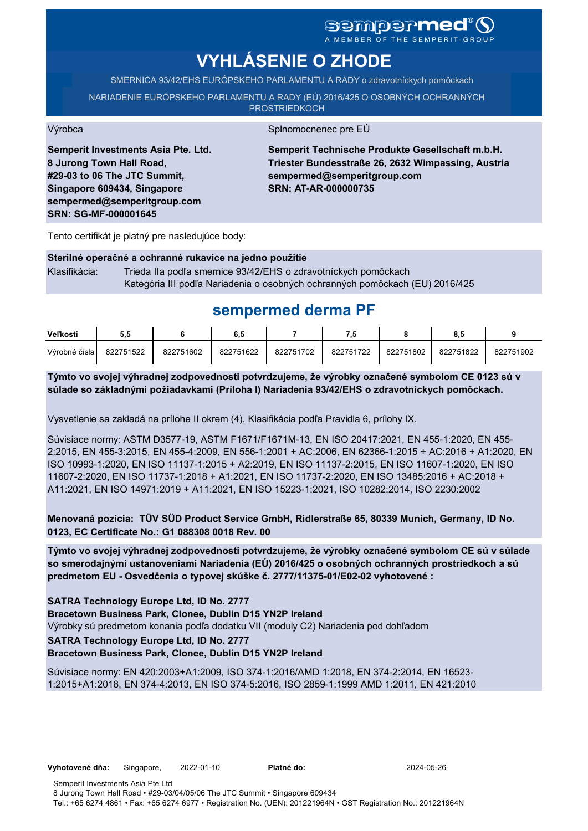# sempermed<sup>®</sup>Q

A MEMBER OF THE SEMPERIT-GROUP

# **VYHLÁSENIE O ZHODE**

SMERNICA 93/42/EHS EURÓPSKEHO PARLAMENTU A RADY o zdravotníckych pomôckach

NARIADENIE EURÓPSKEHO PARLAMENTU A RADY (EÚ) 2016/425 O OSOBNÝCH OCHRANNÝCH **PROSTRIEDKOCH** 

Výrobca Splnomocnenec pre EÚ

**Semperit Investments Asia Pte. Ltd. 8 Jurong Town Hall Road, #29-03 to 06 The JTC Summit, Singapore 609434, Singapore sempermed@semperitgroup.com SRN: SG-MF-000001645**

**Semperit Technische Produkte Gesellschaft m.b.H. Triester Bundesstraße 26, 2632 Wimpassing, Austria sempermed@semperitgroup.com SRN: AT-AR-000000735**

Tento certifikát je platný pre nasledujúce body:

#### **Sterilné operačné a ochranné rukavice na jedno použitie**

Klasifikácia: Trieda IIa podľa smernice 93/42/EHS o zdravotníckych pomôckach Kategória III podľa Nariadenia o osobných ochranných pomôckach (EU) 2016/425

## **sempermed derma PF**

| Veľkosti      | 5.5       |           | 6.5       |           | - 9       |           | 8.5       |           |
|---------------|-----------|-----------|-----------|-----------|-----------|-----------|-----------|-----------|
| Výrobné čísla | 822751522 | 822751602 | 822751622 | 822751702 | 822751722 | 822751802 | 822751822 | 822751902 |

**Týmto vo svojej výhradnej zodpovednosti potvrdzujeme, že výrobky označené symbolom CE 0123 sú v súlade so základnými požiadavkami (Príloha I) Nariadenia 93/42/EHS o zdravotníckych pomôckach.**

Vysvetlenie sa zakladá na prílohe II okrem (4). Klasifikácia podľa Pravidla 6, prílohy IX.

Súvisiace normy: ASTM D3577-19, ASTM F1671/F1671M-13, EN ISO 20417:2021, EN 455-1:2020, EN 455- 2:2015, EN 455-3:2015, EN 455-4:2009, EN 556-1:2001 + AC:2006, EN 62366-1:2015 + AC:2016 + A1:2020, EN ISO 10993-1:2020, EN ISO 11137-1:2015 + A2:2019, EN ISO 11137-2:2015, EN ISO 11607-1:2020, EN ISO 11607-2:2020, EN ISO 11737-1:2018 + A1:2021, EN ISO 11737-2:2020, EN ISO 13485:2016 + AC:2018 + A11:2021, EN ISO 14971:2019 + A11:2021, EN ISO 15223-1:2021, ISO 10282:2014, ISO 2230:2002

**Menovaná pozícia: TÜV SÜD Product Service GmbH, Ridlerstraße 65, 80339 Munich, Germany, ID No. 0123, EC Certificate No.: G1 088308 0018 Rev. 00** 

**Týmto vo svojej výhradnej zodpovednosti potvrdzujeme, že výrobky označené symbolom CE sú v súlade so smerodajnými ustanoveniami Nariadenia (EÚ) 2016/425 o osobných ochranných prostriedkoch a sú predmetom EU - Osvedčenia o typovej skúške č. 2777/11375-01/E02-02 vyhotovené :**

**SATRA Technology Europe Ltd, ID No. 2777**

**Bracetown Business Park, Clonee, Dublin D15 YN2P Ireland**

Výrobky sú predmetom konania podľa dodatku VII (moduly C2) Nariadenia pod dohľadom

**SATRA Technology Europe Ltd, ID No. 2777**

#### **Bracetown Business Park, Clonee, Dublin D15 YN2P Ireland**

Súvisiace normy: EN 420:2003+A1:2009, ISO 374-1:2016/AMD 1:2018, EN 374-2:2014, EN 16523- 1:2015+A1:2018, EN 374-4:2013, EN ISO 374-5:2016, ISO 2859-1:1999 AMD 1:2011, EN 421:2010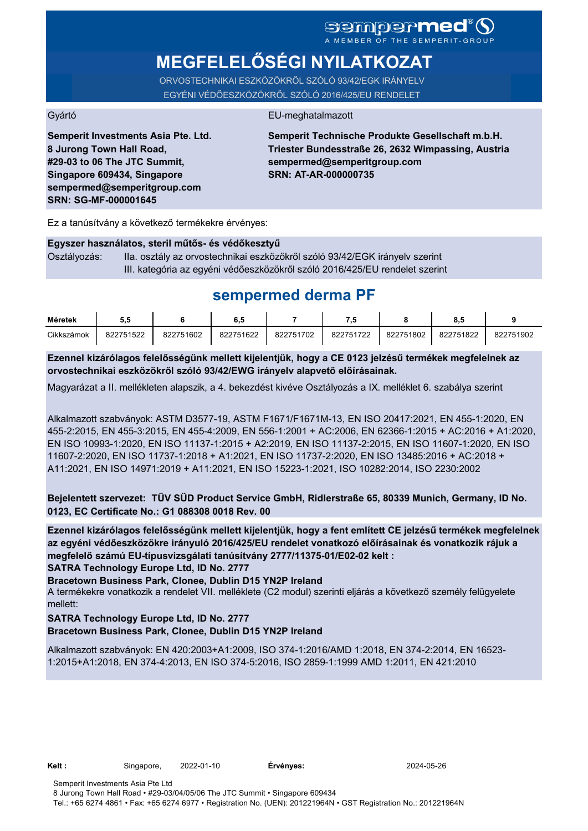# **MEGFELELŐSÉGI NYILATKOZAT**

ORVOSTECHNIKAI ESZKÖZÖKRŐL SZÓLÓ 93/42/EGK IRÁNYELV EGYÉNI VÉDŐESZKÖZÖKRŐL SZÓLÓ 2016/425/EU RENDELET

#### Gyártó EU-meghatalmazott

**Semperit Investments Asia Pte. Ltd. 8 Jurong Town Hall Road, #29-03 to 06 The JTC Summit, Singapore 609434, Singapore sempermed@semperitgroup.com SRN: SG-MF-000001645**

**Semperit Technische Produkte Gesellschaft m.b.H. Triester Bundesstraße 26, 2632 Wimpassing, Austria sempermed@semperitgroup.com SRN: AT-AR-000000735**

Ez a tanúsítvány a következő termékekre érvényes:

#### **Egyszer használatos, steril műtős- és védőkesztyű**

Osztályozás: IIa. osztály az orvostechnikai eszközökről szóló 93/42/EGK irányelv szerint III. kategória az egyéni védőeszközökről szóló 2016/425/EU rendelet szerint

## **sempermed derma PF**

| Méretek    | ວ.ະ       |           | 0.J       |           | - 1       |           |           |           |
|------------|-----------|-----------|-----------|-----------|-----------|-----------|-----------|-----------|
| Cikkszámok | 822751522 | 822751602 | 822751622 | 822751702 | 822751722 | 822751802 | 822751822 | 822751902 |

**Ezennel kizárólagos felelősségünk mellett kijelentjük, hogy a CE 0123 jelzésű termékek megfelelnek az orvostechnikai eszközökről szóló 93/42/EWG irányelv alapvető előírásainak.**

Magyarázat a II. mellékleten alapszik, a 4. bekezdést kivéve Osztályozás a IX. melléklet 6. szabálya szerint

Alkalmazott szabványok: ASTM D3577-19, ASTM F1671/F1671M-13, EN ISO 20417:2021, EN 455-1:2020, EN 455-2:2015, EN 455-3:2015, EN 455-4:2009, EN 556-1:2001 + AC:2006, EN 62366-1:2015 + AC:2016 + A1:2020, EN ISO 10993-1:2020, EN ISO 11137-1:2015 + A2:2019, EN ISO 11137-2:2015, EN ISO 11607-1:2020, EN ISO 11607-2:2020, EN ISO 11737-1:2018 + A1:2021, EN ISO 11737-2:2020, EN ISO 13485:2016 + AC:2018 + A11:2021, EN ISO 14971:2019 + A11:2021, EN ISO 15223-1:2021, ISO 10282:2014, ISO 2230:2002

**Bejelentett szervezet: TÜV SÜD Product Service GmbH, Ridlerstraße 65, 80339 Munich, Germany, ID No. 0123, EC Certificate No.: G1 088308 0018 Rev. 00** 

**SATRA Technology Europe Ltd, ID No. 2777 Ezennel kizárólagos felelősségünk mellett kijelentjük, hogy a fent említett CE jelzésű termékek megfelelnek az egyéni védőeszközökre irányuló 2016/425/EU rendelet vonatkozó előírásainak és vonatkozik rájuk a megfelelő számú EU-típusvizsgálati tanúsítvány 2777/11375-01/E02-02 kelt :**

**Bracetown Business Park, Clonee, Dublin D15 YN2P Ireland**

A termékekre vonatkozik a rendelet VII. melléklete (C2 modul) szerinti eljárás a következő személy felügyelete mellett:

#### **SATRA Technology Europe Ltd, ID No. 2777**

#### **Bracetown Business Park, Clonee, Dublin D15 YN2P Ireland**

Alkalmazott szabványok: EN 420:2003+A1:2009, ISO 374-1:2016/AMD 1:2018, EN 374-2:2014, EN 16523- 1:2015+A1:2018, EN 374-4:2013, EN ISO 374-5:2016, ISO 2859-1:1999 AMD 1:2011, EN 421:2010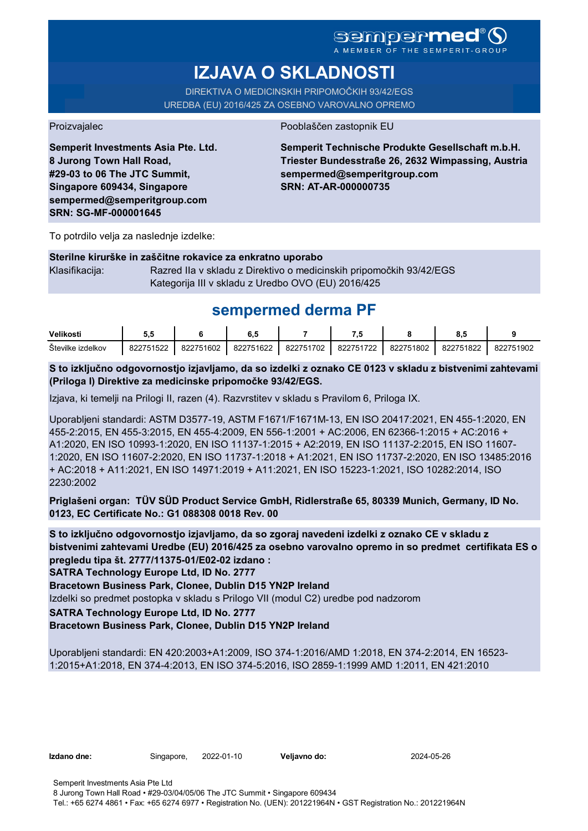A MEMBER OF THE SEMPERIT-GROUP

# **IZJAVA O SKLADNOSTI**

DIREKTIVA O MEDICINSKIH PRIPOMOČKIH 93/42/EGS UREDBA (EU) 2016/425 ZA OSEBNO VAROVALNO OPREMO

Proizvajalec Pooblaščen zastopnik EU

**Semperit Investments Asia Pte. Ltd. 8 Jurong Town Hall Road, #29-03 to 06 The JTC Summit, Singapore 609434, Singapore sempermed@semperitgroup.com SRN: SG-MF-000001645**

**Semperit Technische Produkte Gesellschaft m.b.H. Triester Bundesstraße 26, 2632 Wimpassing, Austria sempermed@semperitgroup.com SRN: AT-AR-000000735**

To potrdilo velja za naslednje izdelke:

#### **Sterilne kirurške in zaščitne rokavice za enkratno uporabo**

Klasifikacija: Razred IIa v skladu z Direktivo o medicinskih pripomočkih 93/42/EGS Kategorija III v skladu z Uredbo OVO (EU) 2016/425

## **sempermed derma PF**

| Velikosti              | u.        |           | υ, υ      |           |           |           |           |           |
|------------------------|-----------|-----------|-----------|-----------|-----------|-----------|-----------|-----------|
| Stevilke<br>, izdelkov | 822751522 | 822751602 | 822751622 | 822751702 | 822751722 | 822751802 | 822751822 | 822751902 |

**S to izključno odgovornostjo izjavljamo, da so izdelki z oznako CE 0123 v skladu z bistvenimi zahtevami (Priloga I) Direktive za medicinske pripomočke 93/42/EGS.**

Izjava, ki temelji na Prilogi II, razen (4). Razvrstitev v skladu s Pravilom 6, Priloga IX.

Uporabljeni standardi: ASTM D3577-19, ASTM F1671/F1671M-13, EN ISO 20417:2021, EN 455-1:2020, EN 455-2:2015, EN 455-3:2015, EN 455-4:2009, EN 556-1:2001 + AC:2006, EN 62366-1:2015 + AC:2016 + A1:2020, EN ISO 10993-1:2020, EN ISO 11137-1:2015 + A2:2019, EN ISO 11137-2:2015, EN ISO 11607- 1:2020, EN ISO 11607-2:2020, EN ISO 11737-1:2018 + A1:2021, EN ISO 11737-2:2020, EN ISO 13485:2016 + AC:2018 + A11:2021, EN ISO 14971:2019 + A11:2021, EN ISO 15223-1:2021, ISO 10282:2014, ISO 2230:2002

**Priglašeni organ: TÜV SÜD Product Service GmbH, Ridlerstraße 65, 80339 Munich, Germany, ID No. 0123, EC Certificate No.: G1 088308 0018 Rev. 00** 

**S to izključno odgovornostjo izjavljamo, da so zgoraj navedeni izdelki z oznako CE v skladu z bistvenimi zahtevami Uredbe (EU) 2016/425 za osebno varovalno opremo in so predmet certifikata ES o pregledu tipa št. 2777/11375-01/E02-02 izdano :**

**SATRA Technology Europe Ltd, ID No. 2777**

**Bracetown Business Park, Clonee, Dublin D15 YN2P Ireland**

Izdelki so predmet postopka v skladu s Prilogo VII (modul C2) uredbe pod nadzorom

### **SATRA Technology Europe Ltd, ID No. 2777**

#### **Bracetown Business Park, Clonee, Dublin D15 YN2P Ireland**

Uporabljeni standardi: EN 420:2003+A1:2009, ISO 374-1:2016/AMD 1:2018, EN 374-2:2014, EN 16523- 1:2015+A1:2018, EN 374-4:2013, EN ISO 374-5:2016, ISO 2859-1:1999 AMD 1:2011, EN 421:2010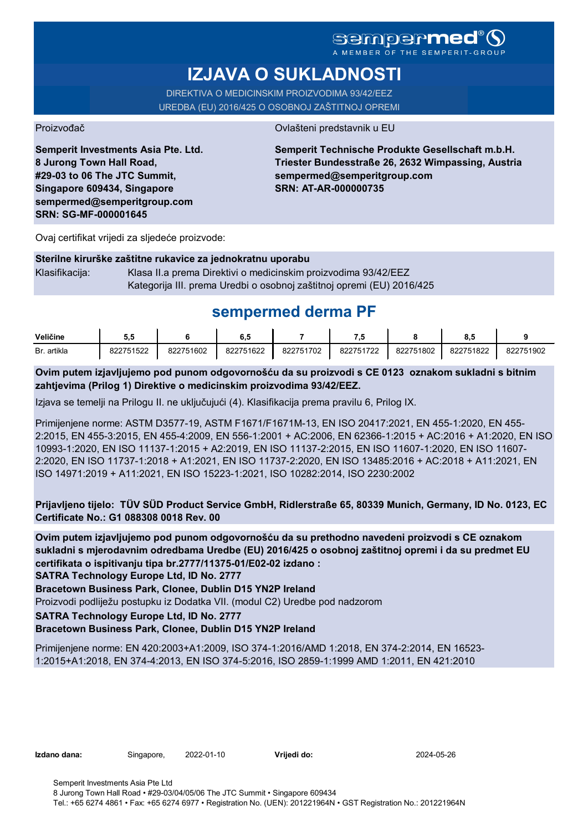## **sempermed**

A MEMBER OF THE

# **IZJAVA O SUKLADNOSTI**

DIREKTIVA O MEDICINSKIM PROIZVODIMA 93/42/EEZ UREDBA (EU) 2016/425 O OSOBNOJ ZAŠTITNOJ OPREMI

Proizvođač **Ovlašteni predstavnik u EU** 

**Semperit Investments Asia Pte. Ltd. 8 Jurong Town Hall Road, #29-03 to 06 The JTC Summit, Singapore 609434, Singapore sempermed@semperitgroup.com SRN: SG-MF-000001645**

**Semperit Technische Produkte Gesellschaft m.b.H. Triester Bundesstraße 26, 2632 Wimpassing, Austria sempermed@semperitgroup.com SRN: AT-AR-000000735**

Ovaj certifikat vrijedi za sljedeće proizvode:

#### **Sterilne kirurške zaštitne rukavice za jednokratnu uporabu**

Klasifikacija: Klasa II.a prema Direktivi o medicinskim proizvodima 93/42/EEZ Kategorija III. prema Uredbi o osobnoj zaštitnoj opremi (EU) 2016/425

## **sempermed derma PF**

| Veličine    | v.        |           | υ         |           | .         |           | υ.,       |           |
|-------------|-----------|-----------|-----------|-----------|-----------|-----------|-----------|-----------|
| Br. artikla | 822751522 | 822751602 | 822751622 | 822751702 | 822751722 | 822751802 | 822751822 | 822751902 |

**Ovim putem izjavljujemo pod punom odgovornošću da su proizvodi s CE 0123 oznakom sukladni s bitnim zahtjevima (Prilog 1) Direktive o medicinskim proizvodima 93/42/EEZ.**

Izjava se temelji na Prilogu II. ne uključujući (4). Klasifikacija prema pravilu 6, Prilog IX.

Primijenjene norme: ASTM D3577-19, ASTM F1671/F1671M-13, EN ISO 20417:2021, EN 455-1:2020, EN 455- 2:2015, EN 455-3:2015, EN 455-4:2009, EN 556-1:2001 + AC:2006, EN 62366-1:2015 + AC:2016 + A1:2020, EN ISO 10993-1:2020, EN ISO 11137-1:2015 + A2:2019, EN ISO 11137-2:2015, EN ISO 11607-1:2020, EN ISO 11607- 2:2020, EN ISO 11737-1:2018 + A1:2021, EN ISO 11737-2:2020, EN ISO 13485:2016 + AC:2018 + A11:2021, EN ISO 14971:2019 + A11:2021, EN ISO 15223-1:2021, ISO 10282:2014, ISO 2230:2002

**Prijavljeno tijelo: TÜV SÜD Product Service GmbH, Ridlerstraße 65, 80339 Munich, Germany, ID No. 0123, EC Certificate No.: G1 088308 0018 Rev. 00** 

**Ovim putem izjavljujemo pod punom odgovornošću da su prethodno navedeni proizvodi s CE oznakom sukladni s mjerodavnim odredbama Uredbe (EU) 2016/425 o osobnoj zaštitnoj opremi i da su predmet EU certifikata o ispitivanju tipa br.2777/11375-01/E02-02 izdano :**

**SATRA Technology Europe Ltd, ID No. 2777**

**Bracetown Business Park, Clonee, Dublin D15 YN2P Ireland**

Proizvodi podliježu postupku iz Dodatka VII. (modul C2) Uredbe pod nadzorom

**SATRA Technology Europe Ltd, ID No. 2777**

### **Bracetown Business Park, Clonee, Dublin D15 YN2P Ireland**

Primijenjene norme: EN 420:2003+A1:2009, ISO 374-1:2016/AMD 1:2018, EN 374-2:2014, EN 16523- 1:2015+A1:2018, EN 374-4:2013, EN ISO 374-5:2016, ISO 2859-1:1999 AMD 1:2011, EN 421:2010

**Izdano dana:** Singapore, 2022-01-10 **Vrijedi do:** 2024-05-26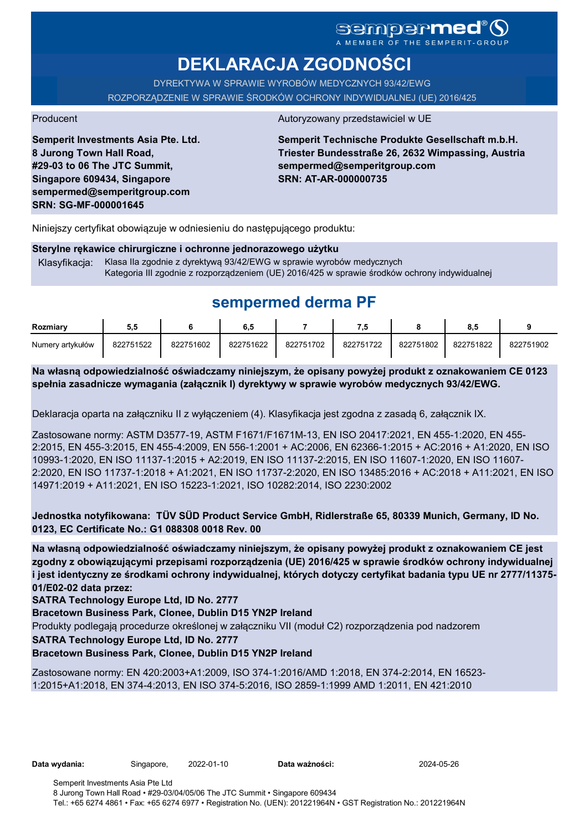# sempermed

**DEKLARACJA ZGODNOŚCI**

DYREKTYWA W SPRAWIE WYROBÓW MEDYCZNYCH 93/42/EWG ROZPORZĄDZENIE W SPRAWIE ŚRODKÓW OCHRONY INDYWIDUALNEJ (UE) 2016/425

**Semperit Investments Asia Pte. Ltd. 8 Jurong Town Hall Road, #29-03 to 06 The JTC Summit, Singapore 609434, Singapore sempermed@semperitgroup.com SRN: SG-MF-000001645**

#### Producent Autoryzowany przedstawiciel w UE

**Semperit Technische Produkte Gesellschaft m.b.H. Triester Bundesstraße 26, 2632 Wimpassing, Austria sempermed@semperitgroup.com SRN: AT-AR-000000735**

Niniejszy certyfikat obowiązuje w odniesieniu do następującego produktu:

#### **Sterylne rękawice chirurgiczne i ochronne jednorazowego użytku**

Klasyfikacja: Klasa IIa zgodnie z dyrektywą 93/42/EWG w sprawie wyrobów medycznych Kategoria III zgodnie z rozporządzeniem (UE) 2016/425 w sprawie środków ochrony indywidualnej

# **sempermed derma PF**

| Rozmiarv         | ວ.ວ       |           | 6.5       |           |           |           | 8.5       |           |
|------------------|-----------|-----------|-----------|-----------|-----------|-----------|-----------|-----------|
| Numery artykułów | 822751522 | 822751602 | 822751622 | 822751702 | 822751722 | 822751802 | 822751822 | 822751902 |

**Na własną odpowiedzialność oświadczamy niniejszym, że opisany powyżej produkt z oznakowaniem CE 0123 spełnia zasadnicze wymagania (załącznik I) dyrektywy w sprawie wyrobów medycznych 93/42/EWG.**

Deklaracja oparta na załączniku II z wyłączeniem (4). Klasyfikacja jest zgodna z zasadą 6, załącznik IX.

Zastosowane normy: ASTM D3577-19, ASTM F1671/F1671M-13, EN ISO 20417:2021, EN 455-1:2020, EN 455- 2:2015, EN 455-3:2015, EN 455-4:2009, EN 556-1:2001 + AC:2006, EN 62366-1:2015 + AC:2016 + A1:2020, EN ISO 10993-1:2020, EN ISO 11137-1:2015 + A2:2019, EN ISO 11137-2:2015, EN ISO 11607-1:2020, EN ISO 11607- 2:2020, EN ISO 11737-1:2018 + A1:2021, EN ISO 11737-2:2020, EN ISO 13485:2016 + AC:2018 + A11:2021, EN ISO 14971:2019 + A11:2021, EN ISO 15223-1:2021, ISO 10282:2014, ISO 2230:2002

**Jednostka notyfikowana: TÜV SÜD Product Service GmbH, Ridlerstraße 65, 80339 Munich, Germany, ID No. 0123, EC Certificate No.: G1 088308 0018 Rev. 00** 

**Na własną odpowiedzialność oświadczamy niniejszym, że opisany powyżej produkt z oznakowaniem CE jest zgodny z obowiązującymi przepisami rozporządzenia (UE) 2016/425 w sprawie środków ochrony indywidualnej i jest identyczny ze środkami ochrony indywidualnej, których dotyczy certyfikat badania typu UE nr 2777/11375- 01/E02-02 data przez:**

**SATRA Technology Europe Ltd, ID No. 2777**

**Bracetown Business Park, Clonee, Dublin D15 YN2P Ireland**

Produkty podlegają procedurze określonej w załączniku VII (moduł C2) rozporządzenia pod nadzorem

**SATRA Technology Europe Ltd, ID No. 2777**

#### **Bracetown Business Park, Clonee, Dublin D15 YN2P Ireland**

Zastosowane normy: EN 420:2003+A1:2009, ISO 374-1:2016/AMD 1:2018, EN 374-2:2014, EN 16523- 1:2015+A1:2018, EN 374-4:2013, EN ISO 374-5:2016, ISO 2859-1:1999 AMD 1:2011, EN 421:2010

**Data wydania:** Singapore, 2022-01-10 **Data ważności:** 2024-05-26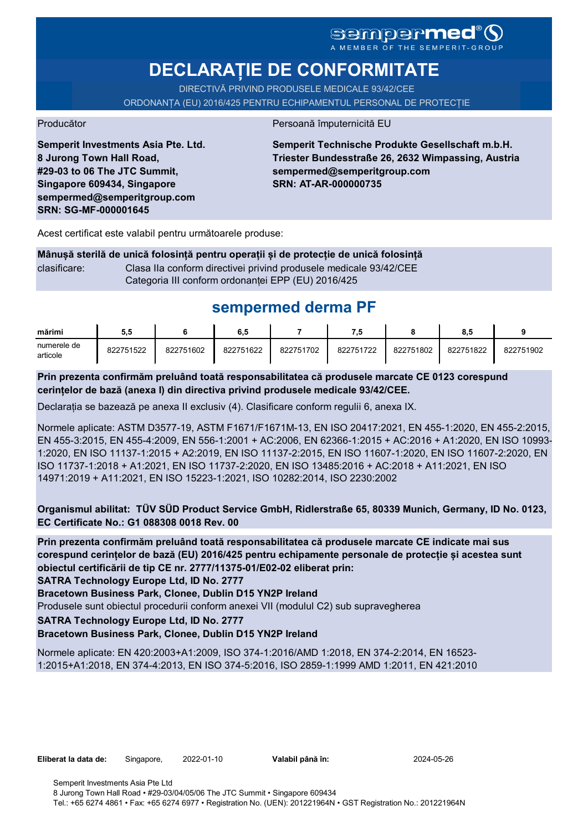# SGMDGPMEd<sup>®</sup>O

**DECLARAȚIE DE CONFORMITATE**

DIRECTIVĂ PRIVIND PRODUSELE MEDICALE 93/42/CEE

ORDONANȚA (EU) 2016/425 PENTRU ECHIPAMENTUL PERSONAL DE PROTECȚIE

Producător **Producător** Persoană împuternicită EU

**Semperit Investments Asia Pte. Ltd. 8 Jurong Town Hall Road, #29-03 to 06 The JTC Summit, Singapore 609434, Singapore sempermed@semperitgroup.com SRN: SG-MF-000001645**

**Semperit Technische Produkte Gesellschaft m.b.H. Triester Bundesstraße 26, 2632 Wimpassing, Austria sempermed@semperitgroup.com SRN: AT-AR-000000735**

Acest certificat este valabil pentru următoarele produse:

**Mânușă sterilă de unică folosință pentru operații și de protecție de unică folosință** clasificare: Clasa IIa conform directivei privind produsele medicale 93/42/CEE Categoria III conform ordonanței EPP (EU) 2016/425

# **sempermed derma PF**

| mărimi                  | 5.5       |           | 6.5       |           |           |           | 8.5       |           |
|-------------------------|-----------|-----------|-----------|-----------|-----------|-----------|-----------|-----------|
| numerele de<br>articole | 822751522 | 822751602 | 822751622 | 822751702 | 822751722 | 822751802 | 822751822 | 822751902 |

**Prin prezenta confirmăm preluând toată responsabilitatea că produsele marcate CE 0123 corespund cerințelor de bază (anexa I) din directiva privind produsele medicale 93/42/CEE.**

Declarația se bazează pe anexa II exclusiv (4). Clasificare conform regulii 6, anexa IX.

Normele aplicate: ASTM D3577-19, ASTM F1671/F1671M-13, EN ISO 20417:2021, EN 455-1:2020, EN 455-2:2015, EN 455-3:2015, EN 455-4:2009, EN 556-1:2001 + AC:2006, EN 62366-1:2015 + AC:2016 + A1:2020, EN ISO 10993- 1:2020, EN ISO 11137-1:2015 + A2:2019, EN ISO 11137-2:2015, EN ISO 11607-1:2020, EN ISO 11607-2:2020, EN ISO 11737-1:2018 + A1:2021, EN ISO 11737-2:2020, EN ISO 13485:2016 + AC:2018 + A11:2021, EN ISO 14971:2019 + A11:2021, EN ISO 15223-1:2021, ISO 10282:2014, ISO 2230:2002

**Organismul abilitat: TÜV SÜD Product Service GmbH, Ridlerstraße 65, 80339 Munich, Germany, ID No. 0123, EC Certificate No.: G1 088308 0018 Rev. 00** 

**Prin prezenta confirmăm preluând toată responsabilitatea că produsele marcate CE indicate mai sus corespund cerințelor de bază (EU) 2016/425 pentru echipamente personale de protecție și acestea sunt obiectul certificării de tip CE nr. 2777/11375-01/E02-02 eliberat prin:**

**SATRA Technology Europe Ltd, ID No. 2777**

**Bracetown Business Park, Clonee, Dublin D15 YN2P Ireland**

Produsele sunt obiectul procedurii conform anexei VII (modulul C2) sub supravegherea

**SATRA Technology Europe Ltd, ID No. 2777**

#### **Bracetown Business Park, Clonee, Dublin D15 YN2P Ireland**

Normele aplicate: EN 420:2003+A1:2009, ISO 374-1:2016/AMD 1:2018, EN 374-2:2014, EN 16523- 1:2015+A1:2018, EN 374-4:2013, EN ISO 374-5:2016, ISO 2859-1:1999 AMD 1:2011, EN 421:2010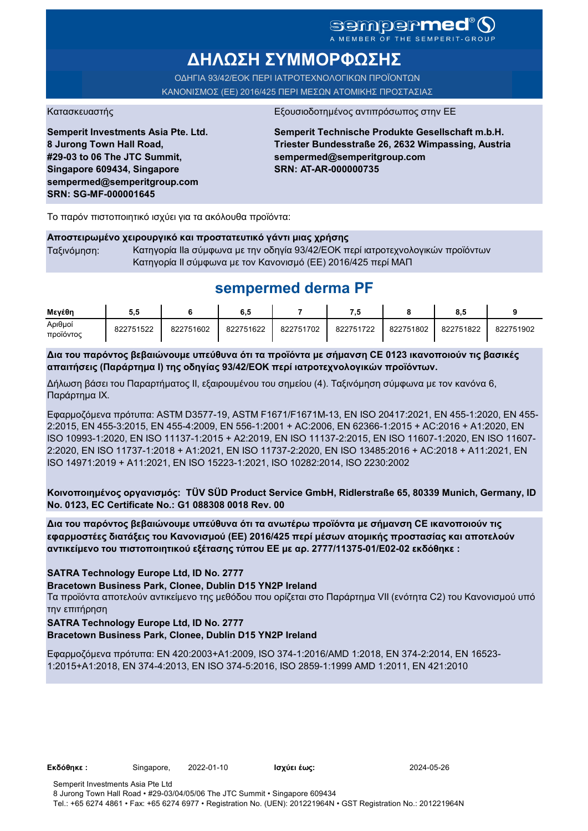### sempermed<sup>®</sup> Q A MEMBER OF THE SEMPERIT-GROUI

**ΔΗΛΩΣΗ ΣΥΜΜΟΡΦΩΣΗΣ**

ΟΔΗΓΙΑ 93/42/ΕΟΚ ΠΕΡΙ ΙΑΤΡΟΤΕΧΝΟΛΟΓΙΚΩΝ ΠΡΟΪΟΝΤΩΝ ΚΑΝΟΝΙΣΜΟΣ (ΕΕ) 2016/425 ΠΕΡΙ ΜΕΣΩΝ ΑΤΟΜΙΚΗΣ ΠΡΟΣΤΑΣΙΑΣ

Κατασκευαστής <u>Εξουσιοδοτημένος αντιπρόσωπος στην Ε</u>

**Semperit Investments Asia Pte. Ltd. 8 Jurong Town Hall Road, #29-03 to 06 The JTC Summit, Singapore 609434, Singapore sempermed@semperitgroup.com SRN: SG-MF-000001645**

**Semperit Technische Produkte Gesellschaft m.b.H. Triester Bundesstraße 26, 2632 Wimpassing, Austria sempermed@semperitgroup.com SRN: AT-AR-000000735**

Το παρόν πιστοποιητικό ισχύει για τα ακόλουθα προϊόντα:

#### **Αποστειρωμένο χειρουργικό και προστατευτικό γάντι μιας χρήσης**

Ταξινόμηση: Κατηγορία IIa σύμφωνα με την οδηγία 93/42/ΕΟΚ περί ιατροτεχνολογικών προϊόντων Κατηγορία II σύμφωνα με τον Κανονισμό (ΕΕ) 2016/425 περί ΜΑΠ

## **sempermed derma PF**

| Μενέθη               |           |           | 6,5       |           | - 7       |           | 8.5       |           |
|----------------------|-----------|-----------|-----------|-----------|-----------|-----------|-----------|-----------|
| Αριθμοί<br>προϊόντος | 822751522 | 822751602 | 822751622 | 822751702 | 822751722 | 822751802 | 822751822 | 822751902 |

**Δια του παρόντος βεβαιώνουμε υπεύθυνα ότι τα προϊόντα με σήμανση CE 0123 ικανοποιούν τις βασικές απαιτήσεις (Παράρτημα I) της οδηγίας 93/42/ΕΟΚ περί ιατροτεχνολογικών προϊόντων.**

Δήλωση βάσει του Παραρτήματος II, εξαιρουμένου του σημείου (4). Ταξινόμηση σύμφωνα με τον κανόνα 6, Παράρτημα IX.

Εφαρμοζόμενα πρότυπα: ASTM D3577-19, ASTM F1671/F1671M-13, EN ISO 20417:2021, EN 455-1:2020, EN 455- 2:2015, EN 455-3:2015, EN 455-4:2009, EN 556-1:2001 + AC:2006, EN 62366-1:2015 + AC:2016 + A1:2020, EN ISO 10993-1:2020, EN ISO 11137-1:2015 + A2:2019, EN ISO 11137-2:2015, EN ISO 11607-1:2020, EN ISO 11607- 2:2020, EN ISO 11737-1:2018 + A1:2021, EN ISO 11737-2:2020, EN ISO 13485:2016 + AC:2018 + A11:2021, EN ISO 14971:2019 + A11:2021, EN ISO 15223-1:2021, ISO 10282:2014, ISO 2230:2002

**Κοινοποιημένος οργανισμός: TÜV SÜD Product Service GmbH, Ridlerstraße 65, 80339 Munich, Germany, ID No. 0123, EC Certificate No.: G1 088308 0018 Rev. 00** 

**Δια του παρόντος βεβαιώνουμε υπεύθυνα ότι τα ανωτέρω προϊόντα με σήμανση CE ικανοποιούν τις εφαρμοστέες διατάξεις του Κανονισμού (ΕΕ) 2016/425 περί μέσων ατομικής προστασίας και αποτελούν αντικείμενο του πιστοποιητικού εξέτασης τύπου ΕΕ με αρ. 2777/11375-01/E02-02 εκδόθηκε :**

#### **SATRA Technology Europe Ltd, ID No. 2777**

**Bracetown Business Park, Clonee, Dublin D15 YN2P Ireland**

Τα προϊόντα αποτελούν αντικείμενο της μεθόδου που ορίζεται στο Παράρτημα VII (ενότητα C2) του Κανονισμού υπό την επιτήρηση

#### **SATRA Technology Europe Ltd, ID No. 2777**

#### **Bracetown Business Park, Clonee, Dublin D15 YN2P Ireland**

Εφαρμοζόμενα πρότυπα: EN 420:2003+A1:2009, ISO 374-1:2016/AMD 1:2018, EN 374-2:2014, EN 16523- 1:2015+A1:2018, EN 374-4:2013, EN ISO 374-5:2016, ISO 2859-1:1999 AMD 1:2011, EN 421:2010

**Εκδόθηκε :** Singapore, 2022-01-10 **Ισχύει έως:** 2024-05-26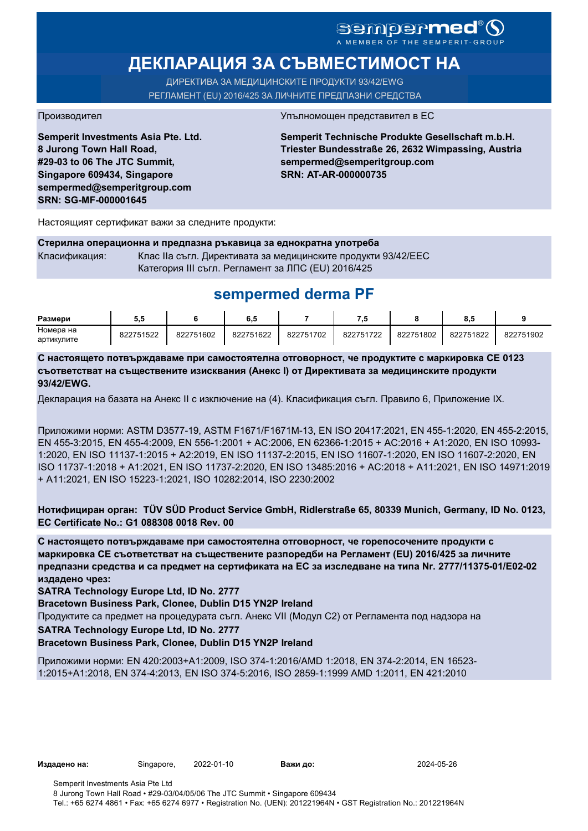# sempermed®

# **ДЕКЛАРАЦИЯ ЗА СЪВМЕСТИМОСТ НА**

ДИРЕКТИВА ЗА МЕДИЦИНСКИТЕ ПРОДУКТИ 93/42/EWG РЕГЛАМЕНТ (EU) 2016/425 ЗА ЛИЧНИТЕ ПРЕДПАЗНИ СРЕДСТВА

**Semperit Investments Asia Pte. Ltd. 8 Jurong Town Hall Road, #29-03 to 06 The JTC Summit, Singapore 609434, Singapore sempermed@semperitgroup.com SRN: SG-MF-000001645**

#### Производител Упълномощен представител в ЕС

**Semperit Technische Produkte Gesellschaft m.b.H. Triester Bundesstraße 26, 2632 Wimpassing, Austria sempermed@semperitgroup.com SRN: AT-AR-000000735**

Настоящият сертификат важи за следните продукти:

**Стерилна операционна и предпазна ръкавица за еднократна употреба** Класификация: Клас IIa съгл. Директивата за медицинските продукти 93/42/EEC Категория III съгл. Регламент за ЛПС (EU) 2016/425

## **sempermed derma PF**

| Размери    | ວ.ວ       |           | o. .      |           |           |           | ο         |           |
|------------|-----------|-----------|-----------|-----------|-----------|-----------|-----------|-----------|
| Номера на  | 822751522 | 822751602 | 822751622 | 822751702 | 822751722 | 822751802 | 822751822 | 822751902 |
| артикулите |           |           |           |           |           |           |           |           |

**С настоящето потвърждаваме при самостоятелна отговорност, че продуктите с маркировка СЕ 0123 съответстват на съществените изисквания (Анекс I) от Директивата за медицинските продукти 93/42/EWG.**

Декларация на базата на Анекс II с изключение на (4). Класификация съгл. Правило 6, Приложение IX.

Приложими норми: ASTM D3577-19, ASTM F1671/F1671M-13, EN ISO 20417:2021, EN 455-1:2020, EN 455-2:2015, EN 455-3:2015, EN 455-4:2009, EN 556-1:2001 + AC:2006, EN 62366-1:2015 + AC:2016 + A1:2020, EN ISO 10993- 1:2020, EN ISO 11137-1:2015 + A2:2019, EN ISO 11137-2:2015, EN ISO 11607-1:2020, EN ISO 11607-2:2020, EN ISO 11737-1:2018 + A1:2021, EN ISO 11737-2:2020, EN ISO 13485:2016 + AC:2018 + A11:2021, EN ISO 14971:2019 + A11:2021, EN ISO 15223-1:2021, ISO 10282:2014, ISO 2230:2002

**Нотифициран орган: TÜV SÜD Product Service GmbH, Ridlerstraße 65, 80339 Munich, Germany, ID No. 0123, EC Certificate No.: G1 088308 0018 Rev. 00** 

**С настоящето потвърждаваме при самостоятелна отговорност, че горепосочените продукти с маркировка СЕ съответстват на съществените разпоредби на Регламент (EU) 2016/425 за личните предпазни средства и са предмет на сертификата на ЕС за изследване на типа Nr. 2777/11375-01/E02-02 издадено чрез:**

**SATRA Technology Europe Ltd, ID No. 2777**

**Bracetown Business Park, Clonee, Dublin D15 YN2P Ireland**

Продуктите са предмет на процедурата съгл. Анекс VII (Модул С2) от Регламента под надзора на

**SATRA Technology Europe Ltd, ID No. 2777**

**Bracetown Business Park, Clonee, Dublin D15 YN2P Ireland**

Приложими норми: EN 420:2003+A1:2009, ISO 374-1:2016/AMD 1:2018, EN 374-2:2014, EN 16523- 1:2015+A1:2018, EN 374-4:2013, EN ISO 374-5:2016, ISO 2859-1:1999 AMD 1:2011, EN 421:2010